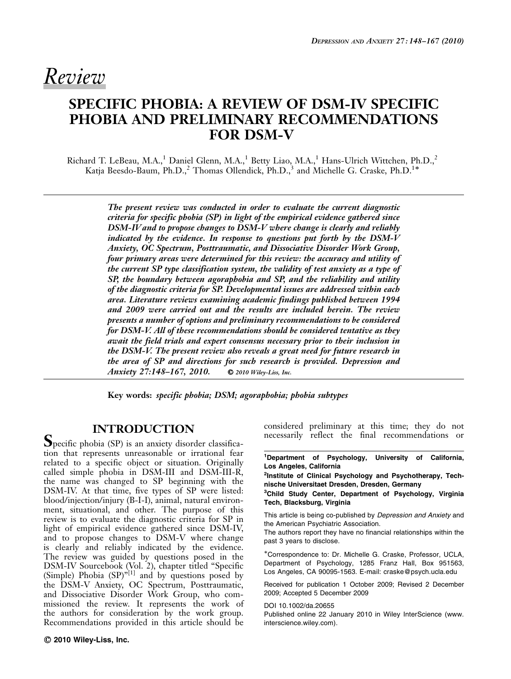# Review

# SPECIFIC PHOBIA: A REVIEW OF DSM-IV SPECIFIC PHOBIA AND PRELIMINARY RECOMMENDATIONS FOR DSM-V

Richard T. LeBeau, M.A.,<sup>1</sup> Daniel Glenn, M.A.,<sup>1</sup> Betty Liao, M.A.,<sup>1</sup> Hans-Ulrich Wittchen, Ph.D.,<sup>2</sup> Katja Beesdo-Baum, Ph.D.,<sup>2</sup> Thomas Ollendick, Ph.D.,<sup>3</sup> and Michelle G. Craske, Ph.D.<sup>1\*</sup>

> The present review was conducted in order to evaluate the current diagnostic criteria for specific phobia (SP) in light of the empirical evidence gathered since DSM-IV and to propose changes to DSM-V where change is clearly and reliably indicated by the evidence. In response to questions put forth by the DSM-V Anxiety, OC Spectrum, Posttraumatic, and Dissociative Disorder Work Group, four primary areas were determined for this review: the accuracy and utility of the current SP type classification system, the validity of test anxiety as a type of SP, the boundary between agoraphobia and SP, and the reliability and utility of the diagnostic criteria for SP. Developmental issues are addressed within each area. Literature reviews examining academic findings published between 1994 and 2009 were carried out and the results are included herein. The review presents a number of options and preliminary recommendations to be considered for DSM-V. All of these recommendations should be considered tentative as they await the field trials and expert consensus necessary prior to their inclusion in the DSM-V. The present review also reveals a great need for future research in the area of SP and directions for such research is provided. Depression and Anxiety 27:148-167, 2010. © 2010 Wiley-Liss, Inc.

Key words: specific phobia; DSM; agoraphobia; phobia subtypes

# INTRODUCTION

Specific phobia (SP) is an anxiety disorder classification that represents unreasonable or irrational fear related to a specific object or situation. Originally called simple phobia in DSM-III and DSM-III-R, the name was changed to SP beginning with the DSM-IV. At that time, five types of SP were listed: blood/injection/injury (B-I-I), animal, natural environment, situational, and other. The purpose of this review is to evaluate the diagnostic criteria for SP in light of empirical evidence gathered since DSM-IV, and to propose changes to DSM-V where change is clearly and reliably indicated by the evidence. The review was guided by questions posed in the DSM-IV Sourcebook (Vol. 2), chapter titled ''Specific (Simple) Phobia  $(SP)^{n[1]}$  and by questions posed by the DSM-V Anxiety, OC Spectrum, Posttraumatic, and Dissociative Disorder Work Group, who commissioned the review. It represents the work of the authors for consideration by the work group. Recommendations provided in this article should be necessarily reflect the final recommendations or

<sup>1</sup>Department of Psychology, University of California, Los Angeles, California

considered preliminary at this time; they do not

<sup>2</sup>Institute of Clinical Psychology and Psychotherapy, Technische Universitaet Dresden, Dresden, Germany

<sup>3</sup>Child Study Center, Department of Psychology, Virginia Tech, Blacksburg, Virginia

This article is being co-published by Depression and Anxiety and the American Psychiatric Association.

The authors report they have no financial relationships within the past 3 years to disclose.

!Correspondence to: Dr. Michelle G. Craske, Professor, UCLA, Department of Psychology, 1285 Franz Hall, Box 951563, Los Angeles, CA 90095-1563. E-mail: craske@psych.ucla.edu

Received for publication 1 October 2009; Revised 2 December 2009; Accepted 5 December 2009

DOI 10.1002/da.20655

Published online 22 January 2010 in Wiley InterScience (www. interscience.wiley.com).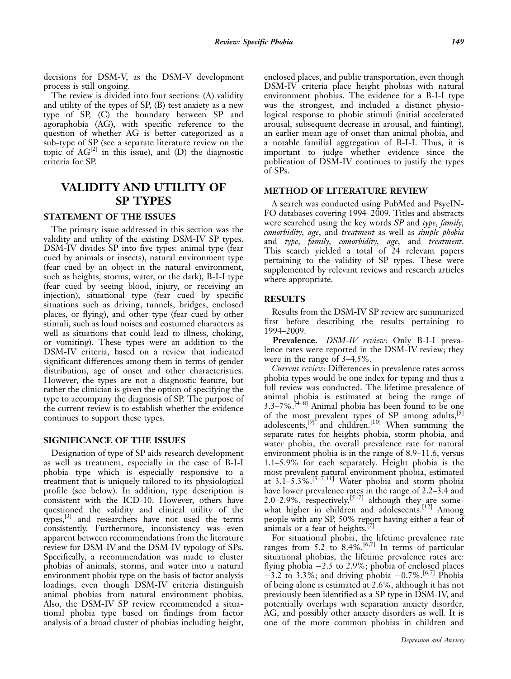decisions for DSM-V, as the DSM-V development process is still ongoing.

The review is divided into four sections: (A) validity and utility of the types of SP, (B) test anxiety as a new type of SP, (C) the boundary between SP and agoraphobia (AG), with specific reference to the question of whether AG is better categorized as a sub-type of SP (see a separate literature review on the topic of  $AG^{[2]}$  in this issue), and (D) the diagnostic criteria for SP.

# VALIDITY AND UTILITY OF SP TYPES

#### STATEMENT OF THE ISSUES

The primary issue addressed in this section was the validity and utility of the existing DSM-IV SP types. DSM-IV divides SP into five types: animal type (fear cued by animals or insects), natural environment type (fear cued by an object in the natural environment, such as heights, storms, water, or the dark), B-I-I type (fear cued by seeing blood, injury, or receiving an injection), situational type (fear cued by specific situations such as driving, tunnels, bridges, enclosed places, or flying), and other type (fear cued by other stimuli, such as loud noises and costumed characters as well as situations that could lead to illness, choking, or vomiting). These types were an addition to the DSM-IV criteria, based on a review that indicated significant differences among them in terms of gender distribution, age of onset and other characteristics. However, the types are not a diagnostic feature, but rather the clinician is given the option of specifying the type to accompany the diagnosis of SP. The purpose of the current review is to establish whether the evidence continues to support these types.

## SIGNIFICANCE OF THE ISSUES

Designation of type of SP aids research development as well as treatment, especially in the case of B-I-I phobia type which is especially responsive to a treatment that is uniquely tailored to its physiological profile (see below). In addition, type description is consistent with the ICD-10. However, others have questioned the validity and clinical utility of the types, $^{[3]}$  and researchers have not used the terms consistently. Furthermore, inconsistency was even apparent between recommendations from the literature review for DSM-IV and the DSM-IV typology of SPs. Specifically, a recommendation was made to cluster phobias of animals, storms, and water into a natural environment phobia type on the basis of factor analysis loadings, even though DSM-IV criteria distinguish animal phobias from natural environment phobias. Also, the DSM-IV SP review recommended a situational phobia type based on findings from factor analysis of a broad cluster of phobias including height, enclosed places, and public transportation, even though DSM-IV criteria place height phobias with natural environment phobias. The evidence for a B-I-I type was the strongest, and included a distinct physiological response to phobic stimuli (initial accelerated arousal, subsequent decrease in arousal, and fainting), an earlier mean age of onset than animal phobia, and a notable familial aggregation of B-I-I. Thus, it is important to judge whether evidence since the publication of DSM-IV continues to justify the types of SPs.

#### METHOD OF LITERATURE REVIEW

A search was conducted using PubMed and PsycIN-FO databases covering 1994–2009. Titles and abstracts were searched using the key words SP and type, family, comorbidity, age, and treatment as well as simple phobia and type, family, comorbidity, age, and treatment. This search yielded a total of 24 relevant papers pertaining to the validity of SP types. These were supplemented by relevant reviews and research articles where appropriate.

## **RESULTS**

Results from the DSM-IV SP review are summarized first before describing the results pertaining to 1994–2009.

Prevalence. DSM-IV review: Only B-I-I prevalence rates were reported in the DSM-IV review; they were in the range of 3–4.5%.

Current review: Differences in prevalence rates across phobia types would be one index for typing and thus a full review was conducted. The lifetime prevalence of animal phobia is estimated at being the range of  $3.3-7\%$ .<sup>[4–8]</sup> Animal phobia has been found to be one of the most prevalent types of SP among adults, [5] adolescents, $^{[9]}$  and children.<sup>[10]</sup> When summing the separate rates for heights phobia, storm phobia, and water phobia, the overall prevalence rate for natural environment phobia is in the range of 8.9–11.6, versus 1.1–5.9% for each separately. Height phobia is the most prevalent natural environment phobia, estimated at  $3.1-5.3\%$ .<sup>[5-7,11]</sup> Water phobia and storm phobia have lower prevalence rates in the range of 2.2–3.4 and  $2.0-2.9\%$ , respectively,<sup>[5–7]</sup> although they are somewhat higher in children and adolescents.<sup>[12]</sup> Among people with any SP, 50% report having either a fear of animals or a fear of heights.[7]

For situational phobia, the lifetime prevalence rate ranges from 5.2 to  $8.4\%$ .<sup>[6,7]</sup> In terms of particular situational phobias, the lifetime prevalence rates are: flying phobia  $-2.5$  to 2.9%; phobia of enclosed places  $-3.2$  to 3.3%; and driving phobia  $-0.7\%$ .<sup>[6,7]</sup> Phobia of being alone is estimated at 2.6%, although it has not previously been identified as a SP type in DSM-IV, and potentially overlaps with separation anxiety disorder, AG, and possibly other anxiety disorders as well. It is one of the more common phobias in children and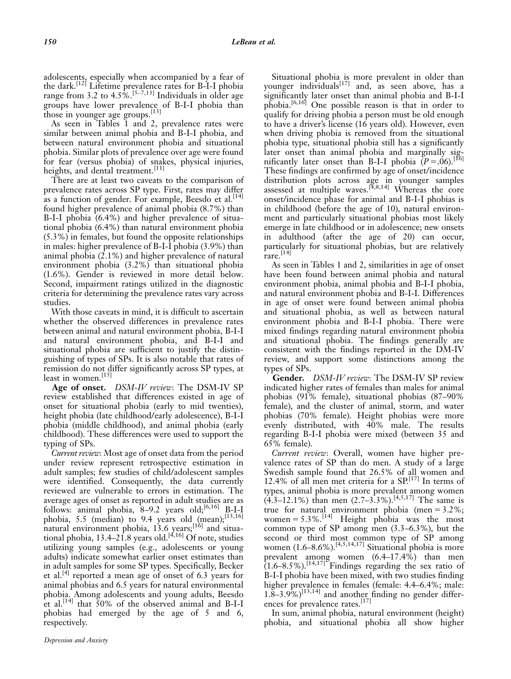adolescents, especially when accompanied by a fear of the dark.<sup>[12]</sup> Lifetime prevalence rates for B-I-I phobia range from 3.2 to 4.5%. $^{\left[ 5-7,13\right] }$  Individuals in older age groups have lower prevalence of B-I-I phobia than those in younger age groups.<sup>[13]</sup>

As seen in Tables 1 and 2, prevalence rates were similar between animal phobia and B-I-I phobia, and between natural environment phobia and situational phobia. Similar plots of prevalence over age were found for fear (versus phobia) of snakes, physical injuries, heights, and dental treatment.<sup>[11]</sup>

There are at least two caveats to the comparison of prevalence rates across SP type. First, rates may differ as a function of gender. For example, Beesdo et al.<sup>[14]</sup> found higher prevalence of animal phobia (8.7%) than B-I-I phobia (6.4%) and higher prevalence of situational phobia (6.4%) than natural environment phobia (5.3%) in females, but found the opposite relationships in males: higher prevalence of B-I-I phobia (3.9%) than animal phobia (2.1%) and higher prevalence of natural environment phobia (3.2%) than situational phobia (1.6%). Gender is reviewed in more detail below. Second, impairment ratings utilized in the diagnostic criteria for determining the prevalence rates vary across studies.

With those caveats in mind, it is difficult to ascertain whether the observed differences in prevalence rates between animal and natural environment phobia, B-I-I and natural environment phobia, and B-I-I and situational phobia are sufficient to justify the distinguishing of types of SPs. It is also notable that rates of remission do not differ significantly across SP types, at least in women. $[15]$ 

Age of onset. *DSM-IV review*: The DSM-IV SP review established that differences existed in age of onset for situational phobia (early to mid twenties), height phobia (late childhood/early adolescence), B-I-I phobia (middle childhood), and animal phobia (early childhood). These differences were used to support the typing of SPs.

Current review: Most age of onset data from the period under review represent retrospective estimation in adult samples; few studies of child/adolescent samples were identified. Consequently, the data currently reviewed are vulnerable to errors in estimation. The average ages of onset as reported in adult studies are as follows: animal phobia, 8-9.2 years old;<sup>[6,16]</sup> B-I-I phobia, 5.5 (median) to 9.4 years old (mean);<sup>[13,16]</sup> natural environment phobia, 13.6 years;<sup>[16]</sup> and situational phobia, 13.4–21.8 years old.<sup>[4,16]</sup> Of note, studies utilizing young samples (e.g., adolescents or young adults) indicate somewhat earlier onset estimates than in adult samples for some SP types. Specifically, Becker et al. $[4]$  reported a mean age of onset of 6.3 years for animal phobias and 6.5 years for natural environmental phobia. Among adolescents and young adults, Beesdo et al.<sup>[14]</sup> that  $50\%$  of the observed animal and B-I-I phobias had emerged by the age of 5 and 6, respectively.

Depression and Anxiety

Situational phobia is more prevalent in older than younger individuals<sup>[17]</sup> and, as seen above, has a significantly later onset than animal phobia and B-I-I phobia.[6,16] One possible reason is that in order to qualify for driving phobia a person must be old enough to have a driver's license (16 years old). However, even when driving phobia is removed from the situational phobia type, situational phobia still has a significantly later onset than animal phobia and marginally significantly later onset than B-I-I phobia  $(P=.06)$ .<sup>[16]</sup> These findings are confirmed by age of onset/incidence distribution plots across age in younger samples assessed at multiple waves.<sup>[4,8,14]</sup> Whereas the core onset/incidence phase for animal and B-I-I phobias is in childhood (before the age of 10), natural environment and particularly situational phobias most likely emerge in late childhood or in adolescence; new onsets in adulthood (after the age of 20) can occur, particularly for situational phobias, but are relatively rare.[14]

As seen in Tables 1 and 2, similarities in age of onset have been found between animal phobia and natural environment phobia, animal phobia and B-I-I phobia, and natural environment phobia and B-I-I. Differences in age of onset were found between animal phobia and situational phobia, as well as between natural environment phobia and B-I-I phobia. There were mixed findings regarding natural environment phobia and situational phobia. The findings generally are consistent with the findings reported in the DM-IV review, and support some distinctions among the types of SPs.

Gender. *DSM-IV review*: The DSM-IV SP review indicated higher rates of females than males for animal phobias (91% female), situational phobias (87–90% female), and the cluster of animal, storm, and water phobias (70% female). Height phobias were more evenly distributed, with 40% male. The results regarding B-I-I phobia were mixed (between 35 and 65% female).

Current review: Overall, women have higher prevalence rates of SP than do men. A study of a large Swedish sample found that 26.5% of all women and 12.4% of all men met criteria for a  $SP<sup>[17]</sup>$  In terms of types, animal phobia is more prevalent among women  $(4.3-12.1\%)$  than men  $(2.7-3.3\%)$ .<sup>[4,5,17]</sup> The same is true for natural environment phobia (men =  $3.2\%$ ; women  $= 5.3\%$ .<sup>[14]</sup> Height phobia was the most common type of SP among men (3.3–6.3%), but the second or third most common type of SP among women  $(1.6-8.6\%)$ .<sup>[4,5,14,17]</sup> Situational phobia is more prevalent among women (6.4–17.4%) than men  $(1.6-8.5\%)$ .<sup>[14,17]</sup> Findings regarding the sex ratio of B-I-I phobia have been mixed, with two studies finding higher prevalence in females (female: 4.4–6.4%; male:  $1.8-3.9\%)$ <sup>[13,14]</sup> and another finding no gender differences for prevalence rates.<sup>[17]</sup>

In sum, animal phobia, natural environment (height) phobia, and situational phobia all show higher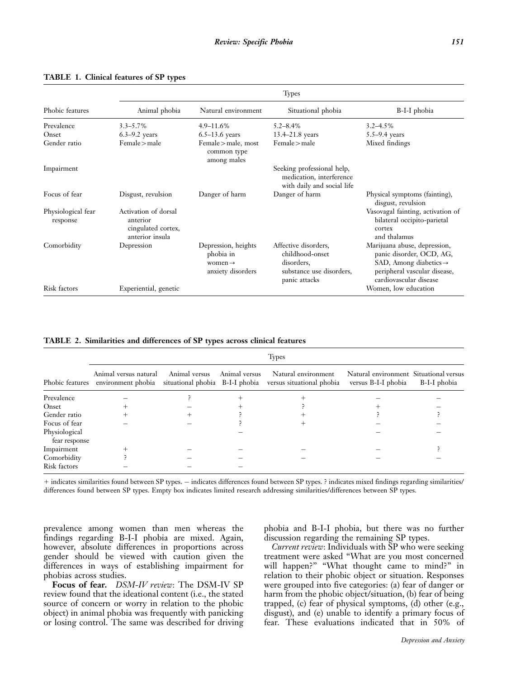|                                | <b>Types</b>                                                              |                                                                              |                                                                                                    |                                                                                                                                                          |  |  |
|--------------------------------|---------------------------------------------------------------------------|------------------------------------------------------------------------------|----------------------------------------------------------------------------------------------------|----------------------------------------------------------------------------------------------------------------------------------------------------------|--|--|
| Phobic features                | Animal phobia                                                             | Natural environment                                                          | Situational phobia                                                                                 | B-I-I phobia                                                                                                                                             |  |  |
| Prevalence                     | $3.3 - 5.7\%$                                                             | $4.9 - 11.6%$                                                                | $5.2 - 8.4\%$                                                                                      | $3.2 - 4.5\%$                                                                                                                                            |  |  |
| Onset                          | $6.3-9.2$ years                                                           | $6.5 - 13.6$ years                                                           | $13.4 - 21.8$ years                                                                                | $5.5 - 9.4$ years                                                                                                                                        |  |  |
| Gender ratio                   | Female > male                                                             | Female > male, most<br>common type<br>among males                            | Female > male                                                                                      | Mixed findings                                                                                                                                           |  |  |
| Impairment                     |                                                                           |                                                                              | Seeking professional help,<br>medication, interference<br>with daily and social life               |                                                                                                                                                          |  |  |
| Focus of fear                  | Disgust, revulsion                                                        | Danger of harm                                                               | Danger of harm                                                                                     | Physical symptoms (fainting),<br>disgust, revulsion                                                                                                      |  |  |
| Physiological fear<br>response | Activation of dorsal<br>anterior<br>cingulated cortex,<br>anterior insula |                                                                              |                                                                                                    | Vasovagal fainting, activation of<br>bilateral occipito-parietal<br>cortex<br>and thalamus                                                               |  |  |
| Comorbidity                    | Depression                                                                | Depression, heights<br>phobia in<br>women $\rightarrow$<br>anxiety disorders | Affective disorders.<br>childhood-onset<br>disorders,<br>substance use disorders,<br>panic attacks | Marijuana abuse, depression,<br>panic disorder, OCD, AG,<br>SAD, Among diabetics $\rightarrow$<br>peripheral vascular disease,<br>cardiovascular disease |  |  |
| Risk factors                   | Experiential, genetic                                                     |                                                                              |                                                                                                    | Women, low education                                                                                                                                     |  |  |

#### TABLE 1. Clinical features of SP types

TABLE 2. Similarities and differences of SP types across clinical features

|                                | <b>Types</b>                                                |                                                  |               |                                                  |                                                               |              |  |  |
|--------------------------------|-------------------------------------------------------------|--------------------------------------------------|---------------|--------------------------------------------------|---------------------------------------------------------------|--------------|--|--|
|                                | Animal versus natural<br>Phobic features environment phobia | Animal versus<br>situational phobia B-I-I phobia | Animal versus | Natural environment<br>versus situational phobia | Natural environment Situational versus<br>versus B-I-I phobia | B-I-I phobia |  |  |
| Prevalence                     |                                                             |                                                  |               |                                                  |                                                               |              |  |  |
| Onset                          |                                                             |                                                  |               |                                                  |                                                               |              |  |  |
| Gender ratio                   |                                                             |                                                  |               |                                                  |                                                               |              |  |  |
| Focus of fear                  |                                                             |                                                  |               |                                                  |                                                               |              |  |  |
| Physiological<br>fear response |                                                             |                                                  |               |                                                  |                                                               |              |  |  |
| Impairment                     |                                                             |                                                  |               |                                                  |                                                               |              |  |  |
| Comorbidity                    |                                                             |                                                  |               |                                                  |                                                               |              |  |  |
| Risk factors                   |                                                             |                                                  |               |                                                  |                                                               |              |  |  |

+ indicates similarities found between SP types. - indicates differences found between SP types. ? indicates mixed findings regarding similarities/ differences found between SP types. Empty box indicates limited research addressing similarities/differences between SP types.

prevalence among women than men whereas the findings regarding B-I-I phobia are mixed. Again, however, absolute differences in proportions across gender should be viewed with caution given the differences in ways of establishing impairment for phobias across studies.

Focus of fear. DSM-IV review: The DSM-IV SP review found that the ideational content (i.e., the stated source of concern or worry in relation to the phobic object) in animal phobia was frequently with panicking or losing control. The same was described for driving phobia and B-I-I phobia, but there was no further discussion regarding the remaining SP types.

Current review: Individuals with SP who were seeking treatment were asked ''What are you most concerned will happen?" "What thought came to mind?" in relation to their phobic object or situation. Responses were grouped into five categories: (a) fear of danger or harm from the phobic object/situation, (b) fear of being trapped, (c) fear of physical symptoms, (d) other (e.g., disgust), and (e) unable to identify a primary focus of fear. These evaluations indicated that in 50% of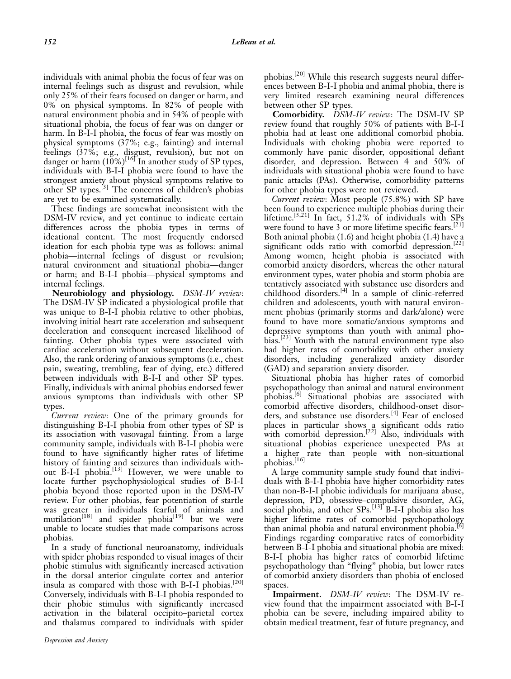individuals with animal phobia the focus of fear was on internal feelings such as disgust and revulsion, while only 25% of their fears focused on danger or harm, and 0% on physical symptoms. In 82% of people with natural environment phobia and in 54% of people with situational phobia, the focus of fear was on danger or harm. In B-I-I phobia, the focus of fear was mostly on physical symptoms (37%; e.g., fainting) and internal feelings (37%; e.g., disgust, revulsion), but not on danger or harm  $(10\%)^{[16]}$  In another study of SP types, individuals with B-I-I phobia were found to have the strongest anxiety about physical symptoms relative to other SP types.<sup>[3]</sup> The concerns of children's phobias are yet to be examined systematically.

These findings are somewhat inconsistent with the DSM-IV review, and yet continue to indicate certain differences across the phobia types in terms of ideational content. The most frequently endorsed ideation for each phobia type was as follows: animal phobia—internal feelings of disgust or revulsion; natural environment and situational phobia—danger or harm; and B-I-I phobia—physical symptoms and internal feelings.

Neurobiology and physiology. DSM-IV review: The DSM-IV SP indicated a physiological profile that was unique to B-I-I phobia relative to other phobias, involving initial heart rate acceleration and subsequent deceleration and consequent increased likelihood of fainting. Other phobia types were associated with cardiac acceleration without subsequent deceleration. Also, the rank ordering of anxious symptoms (i.e., chest pain, sweating, trembling, fear of dying, etc.) differed between individuals with B-I-I and other SP types. Finally, individuals with animal phobias endorsed fewer anxious symptoms than individuals with other SP types.

Current review: One of the primary grounds for distinguishing B-I-I phobia from other types of SP is its association with vasovagal fainting. From a large community sample, individuals with B-I-I phobia were found to have significantly higher rates of lifetime history of fainting and seizures than individuals without  $\vec{B}$ -I-I phobia.<sup>[13]</sup> However, we were unable to locate further psychophysiological studies of B-I-I phobia beyond those reported upon in the DSM-IV review. For other phobias, fear potentiation of startle was greater in individuals fearful of animals and mutilation<sup>[18]</sup> and spider phobia<sup>[19]</sup> but we were unable to locate studies that made comparisons across phobias.

In a study of functional neuroanatomy, individuals with spider phobias responded to visual images of their phobic stimulus with significantly increased activation in the dorsal anterior cingulate cortex and anterior insula as compared with those with B-I-I phobias.<sup>[20]</sup> Conversely, individuals with B-I-I phobia responded to their phobic stimulus with significantly increased activation in the bilateral occipito–parietal cortex and thalamus compared to individuals with spider phobias.[20] While this research suggests neural differences between B-I-I phobia and animal phobia, there is very limited research examining neural differences between other SP types.

**Comorbidity.**  $\overrightarrow{DSM-IV}$  review: The DSM-IV SP review found that roughly 50% of patients with B-I-I phobia had at least one additional comorbid phobia. Individuals with choking phobia were reported to commonly have panic disorder, oppositional defiant disorder, and depression. Between 4 and 50% of individuals with situational phobia were found to have panic attacks (PAs). Otherwise, comorbidity patterns for other phobia types were not reviewed.

Current review: Most people (75.8%) with SP have been found to experience multiple phobias during their lifetime.<sup>[5,21]</sup> In fact, 51.2% of individuals with SPs were found to have 3 or more lifetime specific fears.<sup>[21]</sup> Both animal phobia (1.6) and height phobia (1.4) have a significant odds ratio with comorbid depression.<sup>[22]</sup> Among women, height phobia is associated with comorbid anxiety disorders, whereas the other natural environment types, water phobia and storm phobia are tentatively associated with substance use disorders and childhood disorders.<sup>[4]</sup> In a sample of clinic-referred children and adolescents, youth with natural environment phobias (primarily storms and dark/alone) were found to have more somatic/anxious symptoms and depressive symptoms than youth with animal phobias.<sup>[23]</sup> Youth with the natural environment type also had higher rates of comorbidity with other anxiety disorders, including generalized anxiety disorder (GAD) and separation anxiety disorder.

Situational phobia has higher rates of comorbid psychopathology than animal and natural environment phobias.[6] Situational phobias are associated with comorbid affective disorders, childhood-onset disorders, and substance use disorders.<sup>[4]</sup> Fear of enclosed places in particular shows a significant odds ratio with comorbid depression.<sup>[22]</sup> Also, individuals with situational phobias experience unexpected PAs at a higher rate than people with non-situational phobias.<sup>[16]</sup>

A large community sample study found that individuals with B-I-I phobia have higher comorbidity rates than non-B-I-I phobic individuals for marijuana abuse, depression, PD, obsessive–compulsive disorder, AG, social phobia, and other  $SPs$ .<sup>[13]</sup> B-I-I phobia also has higher lifetime rates of comorbid psychopathology than animal phobia and natural environment phobia.<sup>[6]</sup> Findings regarding comparative rates of comorbidity between B-I-I phobia and situational phobia are mixed: B-I-I phobia has higher rates of comorbid lifetime psychopathology than ''flying'' phobia, but lower rates of comorbid anxiety disorders than phobia of enclosed spaces.

Impairment. DSM-IV review: The DSM-IV review found that the impairment associated with B-I-I phobia can be severe, including impaired ability to obtain medical treatment, fear of future pregnancy, and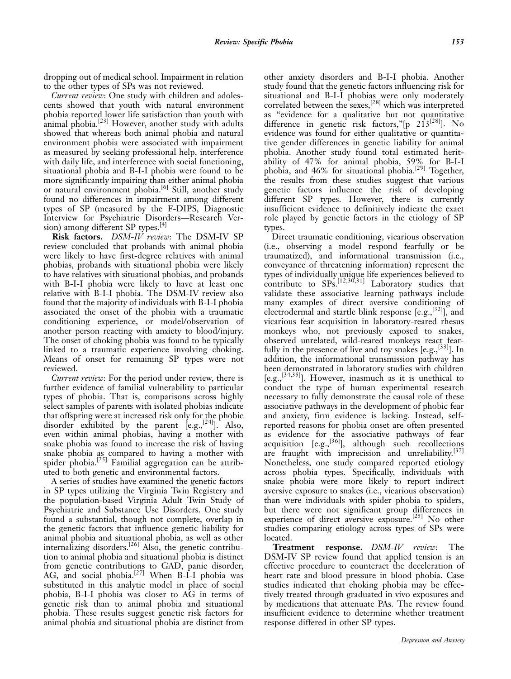dropping out of medical school. Impairment in relation to the other types of SPs was not reviewed.

Current review: One study with children and adolescents showed that youth with natural environment phobia reported lower life satisfaction than youth with animal phobia.<sup>[23]</sup> However, another study with adults showed that whereas both animal phobia and natural environment phobia were associated with impairment as measured by seeking professional help, interference with daily life, and interference with social functioning, situational phobia and B-I-I phobia were found to be more significantly impairing than either animal phobia or natural environment phobia.<sup>[6]</sup> Still, another study found no differences in impairment among different types of SP (measured by the F-DIPS, Diagnostic Interview for Psychiatric Disorders—Research Version) among different SP types.<sup>[4]</sup>

Risk factors. DSM-IV review: The DSM-IV SP review concluded that probands with animal phobia were likely to have first-degree relatives with animal phobias, probands with situational phobia were likely to have relatives with situational phobias, and probands with B-I-I phobia were likely to have at least one relative with B-I-I phobia. The DSM-IV review also found that the majority of individuals with B-I-I phobia associated the onset of the phobia with a traumatic conditioning experience, or model/observation of another person reacting with anxiety to blood/injury. The onset of choking phobia was found to be typically linked to a traumatic experience involving choking. Means of onset for remaining SP types were not reviewed.

Current review: For the period under review, there is further evidence of familial vulnerability to particular types of phobia. That is, comparisons across highly select samples of parents with isolated phobias indicate that offspring were at increased risk only for the phobic disorder exhibited by the parent  $[e.g., [24]$ . Also, even within animal phobias, having a mother with snake phobia was found to increase the risk of having snake phobia as compared to having a mother with spider phobia.<sup>[25]</sup> Familial aggregation can be attributed to both genetic and environmental factors.

A series of studies have examined the genetic factors in SP types utilizing the Virginia Twin Registery and the population-based Virginia Adult Twin Study of Psychiatric and Substance Use Disorders. One study found a substantial, though not complete, overlap in the genetic factors that influence genetic liability for animal phobia and situational phobia, as well as other internalizing disorders.<sup>[26]</sup> Also, the genetic contribution to animal phobia and situational phobia is distinct from genetic contributions to GAD, panic disorder, AG, and social phobia.<sup>[27]</sup> When B-I-I phobia was substituted in this analytic model in place of social phobia, B-I-I phobia was closer to AG in terms of genetic risk than to animal phobia and situational phobia. These results suggest genetic risk factors for animal phobia and situational phobia are distinct from

other anxiety disorders and B-I-I phobia. Another study found that the genetic factors influencing risk for situational and B-I-I phobias were only moderately correlated between the sexes,<sup>[28]</sup> which was interpreted as ''evidence for a qualitative but not quantitative difference in genetic risk factors," $[p \ 213^{[28]}]$ . No evidence was found for either qualitative or quantitative gender differences in genetic liability for animal phobia. Another study found total estimated heritability of 47% for animal phobia, 59% for B-I-I phobia, and 46% for situational phobia.<sup>[29]</sup> Together, the results from these studies suggest that various genetic factors influence the risk of developing different SP types. However, there is currently insufficient evidence to definitively indicate the exact role played by genetic factors in the etiology of SP types.

Direct traumatic conditioning, vicarious observation (i.e., observing a model respond fearfully or be traumatized), and informational transmission (i.e., conveyance of threatening information) represent the types of individually unique life experiences believed to contribute to  $SPs$ <sup>[12,30,31]</sup> Laboratory studies that validate these associative learning pathways include many examples of direct aversive conditioning of electrodermal and startle blink response  $[e.g.,<sup>[32]</sup>]$ , and vicarious fear acquisition in laboratory-reared rhesus monkeys who, not previously exposed to snakes, observed unrelated, wild-reared monkeys react fearfully in the presence of live and toy snakes  $[e.g.,<sup>[33]</sup>]$ . In addition, the informational transmission pathway has been demonstrated in laboratory studies with children [e.g., $^{[34,35]}$ ]. However, inasmuch as it is unethical to conduct the type of human experimental research necessary to fully demonstrate the causal role of these associative pathways in the development of phobic fear and anxiety, firm evidence is lacking. Instead, selfreported reasons for phobia onset are often presented as evidence for the associative pathways of fear acquisition [e.g.,<sup>[36]</sup>], although such recollections are fraught with imprecision and unreliability. $[37]$ Nonetheless, one study compared reported etiology across phobia types. Specifically, individuals with snake phobia were more likely to report indirect aversive exposure to snakes (i.e., vicarious observation) than were individuals with spider phobia to spiders, but there were not significant group differences in experience of direct aversive exposure.[25] No other studies comparing etiology across types of SPs were located.

Treatment response. DSM-IV review: The DSM-IV SP review found that applied tension is an effective procedure to counteract the deceleration of heart rate and blood pressure in blood phobia. Case studies indicated that choking phobia may be effectively treated through graduated in vivo exposures and by medications that attenuate PAs. The review found insufficient evidence to determine whether treatment response differed in other SP types.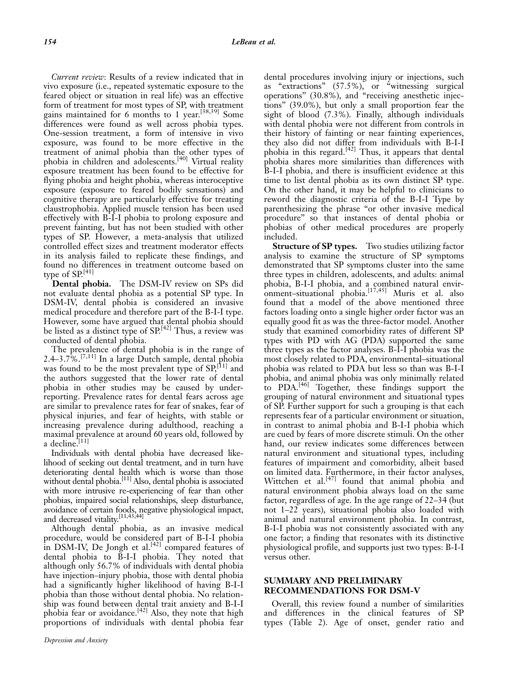Current review: Results of a review indicated that in vivo exposure (i.e., repeated systematic exposure to the feared object or situation in real life) was an effective form of treatment for most types of SP, with treatment gains maintained for 6 months to 1 year.<sup>[38,39]</sup> Some differences were found as well across phobia types. One-session treatment, a form of intensive in vivo exposure, was found to be more effective in the treatment of animal phobia than the other types of phobia in children and adolescents.<sup>[40]</sup> Virtual reality exposure treatment has been found to be effective for flying phobia and height phobia, whereas interoceptive exposure (exposure to feared bodily sensations) and cognitive therapy are particularly effective for treating claustrophobia. Applied muscle tension has been used effectively with B-I-I phobia to prolong exposure and prevent fainting, but has not been studied with other types of SP. However, a meta-analysis that utilized controlled effect sizes and treatment moderator effects in its analysis failed to replicate these findings, and found no differences in treatment outcome based on type of SP.<sup>[41]</sup>

Dental phobia. The DSM-IV review on SPs did not evaluate dental phobia as a potential SP type. In DSM-IV, dental phobia is considered an invasive medical procedure and therefore part of the B-I-I type. However, some have argued that dental phobia should be listed as a distinct type of  $SP^{[42]}$  Thus, a review was conducted of dental phobia.

The prevalence of dental phobia is in the range of 2.4–3.7%.<sup>[7,11]</sup> In a large Dutch sample, dental phobia was found to be the most prevalent type of SP,<sup>[11]</sup> and the authors suggested that the lower rate of dental phobia in other studies may be caused by underreporting. Prevalence rates for dental fears across age are similar to prevalence rates for fear of snakes, fear of physical injuries, and fear of heights, with stable or increasing prevalence during adulthood, reaching a maximal prevalence at around 60 years old, followed by a decline. $[11]$ 

Individuals with dental phobia have decreased likelihood of seeking out dental treatment, and in turn have deteriorating dental health which is worse than those without dental phobia.<sup>[11]</sup> Also, dental phobia is associated with more intrusive re-experiencing of fear than other phobias, impaired social relationships, sleep disturbance, avoidance of certain foods, negative physiological impact, and decreased vitality.<sup>[11,43,44]</sup>

Although dental phobia, as an invasive medical procedure, would be considered part of B-I-I phobia in DSM-IV, De Jongh et al.<sup>[42]</sup> compared features of dental phobia to B-I-I phobia. They noted that although only 56.7% of individuals with dental phobia have injection–injury phobia, those with dental phobia had a significantly higher likelihood of having B-I-I phobia than those without dental phobia. No relationship was found between dental trait anxiety and B-I-I phobia fear or avoidance.<sup>[42]</sup> Also, they note that high proportions of individuals with dental phobia fear

dental procedures involving injury or injections, such as ''extractions'' (57.5%), or ''witnessing surgical operations'' (30.8%), and ''receiving anesthetic injections'' (39.0%), but only a small proportion fear the sight of blood (7.3%). Finally, although individuals with dental phobia were not different from controls in their history of fainting or near fainting experiences, they also did not differ from individuals with B-I-I phobia in this regard. $[42]$  Thus, it appears that dental phobia shares more similarities than differences with B-I-I phobia, and there is insufficient evidence at this time to list dental phobia as its own distinct SP type. On the other hand, it may be helpful to clinicians to reword the diagnostic criteria of the B-I-I Type by parenthesizing the phrase ''or other invasive medical procedure'' so that instances of dental phobia or phobias of other medical procedures are properly included.

**Structure of SP types.** Two studies utilizing factor analysis to examine the structure of SP symptoms demonstrated that SP symptoms cluster into the same three types in children, adolescents, and adults: animal phobia, B-I-I phobia, and a combined natural environment–situational phobia.[17,45] Muris et al. also found that a model of the above mentioned three factors loading onto a single higher order factor was an equally good fit as was the three-factor model. Another study that examined comorbidity rates of different SP types with PD with AG (PDA) supported the same three types as the factor analyses. B-I-I phobia was the most closely related to PDA, environmental–situational phobia was related to PDA but less so than was B-I-I phobia, and animal phobia was only minimally related to PDA.[46] Together, these findings support the grouping of natural environment and situational types of SP. Further support for such a grouping is that each represents fear of a particular environment or situation, in contrast to animal phobia and B-I-I phobia which are cued by fears of more discrete stimuli. On the other hand, our review indicates some differences between natural environment and situational types, including features of impairment and comorbidity, albeit based on limited data. Furthermore, in their factor analyses, Wittchen et al. $[47]$  found that animal phobia and natural environment phobia always load on the same factor, regardless of age. In the age range of 22–34 (but not 1–22 years), situational phobia also loaded with animal and natural environment phobia. In contrast, B-I-I phobia was not consistently associated with any one factor; a finding that resonates with its distinctive physiological profile, and supports just two types: B-I-I versus other.

#### SUMMARY AND PRELIMINARY RECOMMENDATIONS FOR DSM-V

Overall, this review found a number of similarities and differences in the clinical features of SP types (Table 2). Age of onset, gender ratio and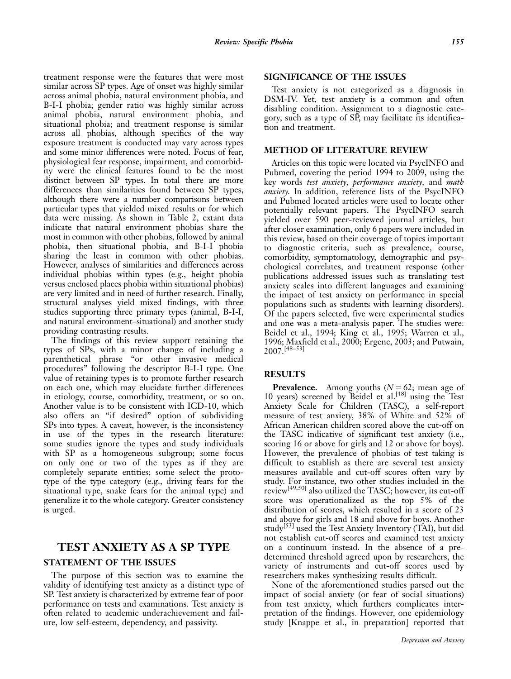treatment response were the features that were most similar across SP types. Age of onset was highly similar across animal phobia, natural environment phobia, and B-I-I phobia; gender ratio was highly similar across animal phobia, natural environment phobia, and situational phobia; and treatment response is similar across all phobias, although specifics of the way exposure treatment is conducted may vary across types and some minor differences were noted. Focus of fear, physiological fear response, impairment, and comorbidity were the clinical features found to be the most distinct between SP types. In total there are more differences than similarities found between SP types, although there were a number comparisons between particular types that yielded mixed results or for which data were missing. As shown in Table 2, extant data indicate that natural environment phobias share the most in common with other phobias, followed by animal phobia, then situational phobia, and B-I-I phobia sharing the least in common with other phobias. However, analyses of similarities and differences across individual phobias within types (e.g., height phobia versus enclosed places phobia within situational phobias) are very limited and in need of further research. Finally, structural analyses yield mixed findings, with three studies supporting three primary types (animal, B-I-I, and natural environment–situational) and another study providing contrasting results.

The findings of this review support retaining the types of SPs, with a minor change of including a parenthetical phrase ''or other invasive medical procedures'' following the descriptor B-I-I type. One value of retaining types is to promote further research on each one, which may elucidate further differences in etiology, course, comorbidity, treatment, or so on. Another value is to be consistent with ICD-10, which also offers an ''if desired'' option of subdividing SPs into types. A caveat, however, is the inconsistency in use of the types in the research literature: some studies ignore the types and study individuals with SP as a homogeneous subgroup; some focus on only one or two of the types as if they are completely separate entities; some select the prototype of the type category (e.g., driving fears for the situational type, snake fears for the animal type) and generalize it to the whole category. Greater consistency is urged.

# TEST ANXIETY AS A SP TYPE

#### STATEMENT OF THE ISSUES

The purpose of this section was to examine the validity of identifying test anxiety as a distinct type of SP. Test anxiety is characterized by extreme fear of poor performance on tests and examinations. Test anxiety is often related to academic underachievement and failure, low self-esteem, dependency, and passivity.

#### SIGNIFICANCE OF THE ISSUES

Test anxiety is not categorized as a diagnosis in DSM-IV. Yet, test anxiety is a common and often disabling condition. Assignment to a diagnostic category, such as a type of SP, may facilitate its identification and treatment.

#### METHOD OF LITERATURE REVIEW

Articles on this topic were located via PsycINFO and Pubmed, covering the period 1994 to 2009, using the key words test anxiety, performance anxiety, and math anxiety. In addition, reference lists of the PsycINFO and Pubmed located articles were used to locate other potentially relevant papers. The PsycINFO search yielded over 590 peer-reviewed journal articles, but after closer examination, only 6 papers were included in this review, based on their coverage of topics important to diagnostic criteria, such as prevalence, course, comorbidity, symptomatology, demographic and psychological correlates, and treatment response (other publications addressed issues such as translating test anxiety scales into different languages and examining the impact of test anxiety on performance in special populations such as students with learning disorders). Of the papers selected, five were experimental studies and one was a meta-analysis paper. The studies were: Beidel et al., 1994; King et al., 1995; Warren et al., 1996; Maxfield et al., 2000; Ergene, 2003; and Putwain, 2007.[48–53]

#### **RESULTS**

**Prevalence.** Among youths  $(N = 62)$ ; mean age of 10 years) screened by Beidel et al. $[48]$  using the Test Anxiety Scale for Children (TASC), a self-report measure of test anxiety, 38% of White and 52% of African American children scored above the cut-off on the TASC indicative of significant test anxiety (i.e., scoring 16 or above for girls and 12 or above for boys). However, the prevalence of phobias of test taking is difficult to establish as there are several test anxiety measures available and cut-off scores often vary by study. For instance, two other studies included in the review[49,50] also utilized the TASC; however, its cut-off score was operationalized as the top 5% of the distribution of scores, which resulted in a score of 23 and above for girls and 18 and above for boys. Another study<sup>[53]</sup> used the Test Anxiety Inventory (TAI), but did not establish cut-off scores and examined test anxiety on a continuum instead. In the absence of a predetermined threshold agreed upon by researchers, the variety of instruments and cut-off scores used by researchers makes synthesizing results difficult.

None of the aforementioned studies parsed out the impact of social anxiety (or fear of social situations) from test anxiety, which furthers complicates interpretation of the findings. However, one epidemiology study [Knappe et al., in preparation] reported that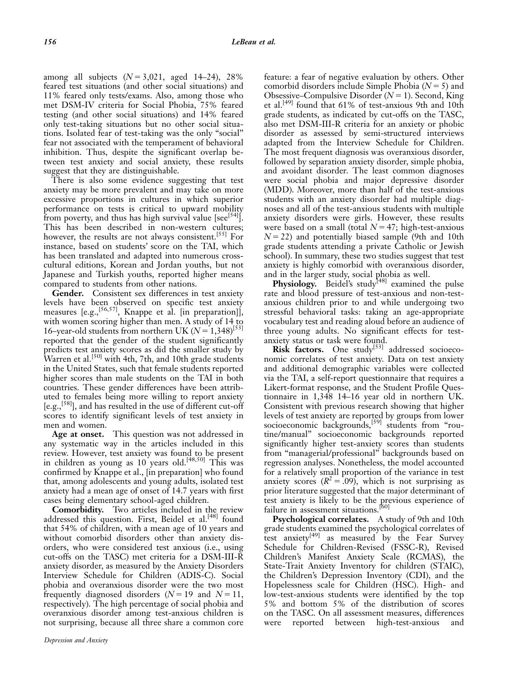among all subjects  $(N = 3,021, \text{ aged } 14-24)$ , 28% feared test situations (and other social situations) and 11% feared only tests/exams. Also, among those who met DSM-IV criteria for Social Phobia, 75% feared testing (and other social situations) and 14% feared only test-taking situations but no other social situations. Isolated fear of test-taking was the only ''social'' fear not associated with the temperament of behavioral inhibition. Thus, despite the significant overlap between test anxiety and social anxiety, these results suggest that they are distinguishable.

There is also some evidence suggesting that test anxiety may be more prevalent and may take on more excessive proportions in cultures in which superior performance on tests is critical to upward mobility from poverty, and thus has high survival value  $[see<sup>[54]</sup>].$ This has been described in non-western cultures; however, the results are not always consistent.<sup>[55]</sup> For instance, based on students' score on the TAI, which has been translated and adapted into numerous crosscultural editions, Korean and Jordan youths, but not Japanese and Turkish youths, reported higher means compared to students from other nations.

Gender. Consistent sex differences in test anxiety levels have been observed on specific test anxiety measures [e.g.,[56,57], Knappe et al. [in preparation]], with women scoring higher than men. A study of 14 to 16–year-old students from northern UK ( $N = 1,348$ )<sup>[53]</sup> reported that the gender of the student significantly predicts test anxiety scores as did the smaller study by Warren et al.<sup>[50]</sup> with 4th, 7th, and 10th grade students in the United States, such that female students reported higher scores than male students on the TAI in both countries. These gender differences have been attributed to females being more willing to report anxiety  $[e.g.,<sup>[58]</sup>]$ , and has resulted in the use of different cut-off scores to identify significant levels of test anxiety in men and women.

Age at onset. This question was not addressed in any systematic way in the articles included in this review. However, test anxiety was found to be present in children as young as 10 years old.<sup>[48,50]</sup> This was confirmed by Knappe et al., [in preparation] who found that, among adolescents and young adults, isolated test anxiety had a mean age of onset of 14.7 years with first cases being elementary school-aged children.

Comorbidity. Two articles included in the review addressed this question. First, Beidel et al.<sup>[48]</sup> found that 54% of children, with a mean age of 10 years and without comorbid disorders other than anxiety disorders, who were considered test anxious (i.e., using cut-offs on the TASC) met criteria for a DSM-III-R anxiety disorder, as measured by the Anxiety Disorders Interview Schedule for Children (ADIS-C). Social phobia and overanxious disorder were the two most frequently diagnosed disorders  $(N = 19$  and  $N = 11$ , respectively). The high percentage of social phobia and overanxious disorder among test-anxious children is not surprising, because all three share a common core

feature: a fear of negative evaluation by others. Other comorbid disorders include Simple Phobia  $(N = 5)$  and Obsessive–Compulsive Disorder  $(N = 1)$ . Second, King et al.<sup>[49]</sup> found that 61% of test-anxious 9th and 10th grade students, as indicated by cut-offs on the TASC, also met DSM-III-R criteria for an anxiety or phobic disorder as assessed by semi-structured interviews adapted from the Interview Schedule for Children. The most frequent diagnosis was overanxious disorder, followed by separation anxiety disorder, simple phobia, and avoidant disorder. The least common diagnoses were social phobia and major depressive disorder (MDD). Moreover, more than half of the test-anxious students with an anxiety disorder had multiple diagnoses and all of the test-anxious students with multiple anxiety disorders were girls. However, these results were based on a small (total  $N = 47$ ; high-test-anxious  $N = 22$ ) and potentially biased sample (9th and 10th grade students attending a private Catholic or Jewish school). In summary, these two studies suggest that test anxiety is highly comorbid with overanxious disorder, and in the larger study, social phobia as well.

**Physiology.** Beidel's study<sup>[48]</sup> examined the pulse rate and blood pressure of test-anxious and non-testanxious children prior to and while undergoing two stressful behavioral tasks: taking an age-appropriate vocabulary test and reading aloud before an audience of three young adults. No significant effects for testanxiety status or task were found.

Risk factors. One study<sup>[53]</sup> addressed socioeconomic correlates of test anxiety. Data on test anxiety and additional demographic variables were collected via the TAI, a self-report questionnaire that requires a Likert-format response, and the Student Profile Questionnaire in 1,348 14–16 year old in northern UK. Consistent with previous research showing that higher levels of test anxiety are reported by groups from lower socioeconomic backgrounds,<sup>[59]</sup> students from "routine/manual'' socioeconomic backgrounds reported significantly higher test-anxiety scores than students from "managerial/professional" backgrounds based on regression analyses. Nonetheless, the model accounted for a relatively small proportion of the variance in test anxiety scores  $(R^2 = .09)$ , which is not surprising as prior literature suggested that the major determinant of test anxiety is likely to be the previous experience of failure in assessment situations.<sup>[60]</sup>

Psychological correlates. A study of 9th and 10th grade students examined the psychological correlates of test anxiety<sup>[49]</sup> as measured by the Fear Survey Schedule for Children-Revised (FSSC-R), Revised Children's Manifest Anxiety Scale (RCMAS), the State-Trait Anxiety Inventory for children (STAIC), the Children's Depression Inventory (CDI), and the Hopelessness scale for Children (HSC). High- and low-test-anxious students were identified by the top 5% and bottom 5% of the distribution of scores on the TASC. On all assessment measures, differences were reported between high-test-anxious and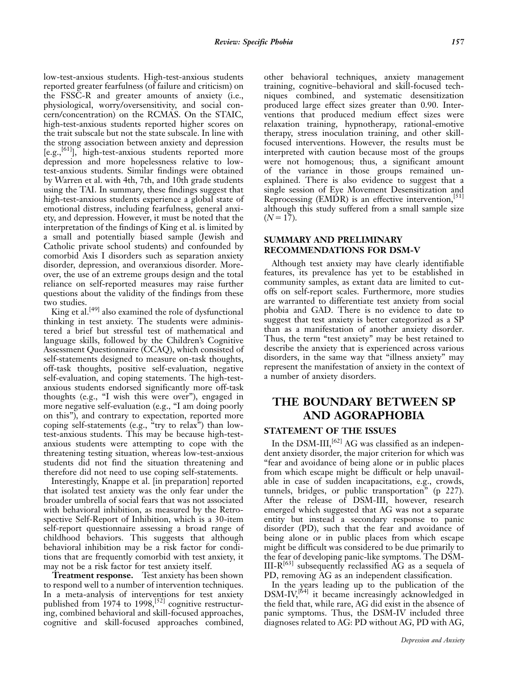low-test-anxious students. High-test-anxious students reported greater fearfulness (of failure and criticism) on the FSSC-R and greater amounts of anxiety (i.e., physiological, worry/oversensitivity, and social concern/concentration) on the RCMAS. On the STAIC, high-test-anxious students reported higher scores on the trait subscale but not the state subscale. In line with the strong association between anxiety and depression  $[e.g.,<sup>[61]</sup>],$  high-test-anxious students reported more depression and more hopelessness relative to lowtest-anxious students. Similar findings were obtained by Warren et al. with 4th, 7th, and 10th grade students using the TAI. In summary, these findings suggest that high-test-anxious students experience a global state of emotional distress, including fearfulness, general anxiety, and depression. However, it must be noted that the interpretation of the findings of King et al. is limited by a small and potentially biased sample (Jewish and Catholic private school students) and confounded by comorbid Axis I disorders such as separation anxiety disorder, depression, and overanxious disorder. Moreover, the use of an extreme groups design and the total reliance on self-reported measures may raise further questions about the validity of the findings from these two studies.

King et al.[49] also examined the role of dysfunctional thinking in test anxiety. The students were administered a brief but stressful test of mathematical and language skills, followed by the Children's Cognitive Assessment Questionnaire (CCAQ), which consisted of self-statements designed to measure on-task thoughts, off-task thoughts, positive self-evaluation, negative self-evaluation, and coping statements. The high-testanxious students endorsed significantly more off-task thoughts (e.g., "I wish this were over"), engaged in more negative self-evaluation (e.g., "I am doing poorly on this''), and contrary to expectation, reported more coping self-statements (e.g., "try to relax") than lowtest-anxious students. This may be because high-testanxious students were attempting to cope with the threatening testing situation, whereas low-test-anxious students did not find the situation threatening and therefore did not need to use coping self-statements.

Interestingly, Knappe et al. [in preparation] reported that isolated test anxiety was the only fear under the broader umbrella of social fears that was not associated with behavioral inhibition, as measured by the Retrospective Self-Report of Inhibition, which is a 30-item self-report questionnaire assessing a broad range of childhood behaviors. This suggests that although behavioral inhibition may be a risk factor for conditions that are frequently comorbid with test anxiety, it may not be a risk factor for test anxiety itself.

Treatment response. Test anxiety has been shown to respond well to a number of intervention techniques. In a meta-analysis of interventions for test anxiety published from 1974 to 1998,<sup>[52]</sup> cognitive restructuring, combined behavioral and skill-focused approaches, cognitive and skill-focused approaches combined, other behavioral techniques, anxiety management training, cognitive–behavioral and skill-focused techniques combined, and systematic desensitization produced large effect sizes greater than 0.90. Interventions that produced medium effect sizes were relaxation training, hypnotherapy, rational-emotive therapy, stress inoculation training, and other skillfocused interventions. However, the results must be interpreted with caution because most of the groups were not homogenous; thus, a significant amount of the variance in those groups remained unexplained. There is also evidence to suggest that a single session of Eye Movement Desensitization and Reprocessing (EMDR) is an effective intervention,<sup>[51]</sup> although this study suffered from a small sample size  $(N = 17)$ .

## SUMMARY AND PRELIMINARY RECOMMENDATIONS FOR DSM-V

Although test anxiety may have clearly identifiable features, its prevalence has yet to be established in community samples, as extant data are limited to cutoffs on self-report scales. Furthermore, more studies are warranted to differentiate test anxiety from social phobia and GAD. There is no evidence to date to suggest that test anxiety is better categorized as a SP than as a manifestation of another anxiety disorder. Thus, the term "test anxiety" may be best retained to describe the anxiety that is experienced across various disorders, in the same way that ''illness anxiety'' may represent the manifestation of anxiety in the context of a number of anxiety disorders.

# THE BOUNDARY BETWEEN SP AND AGORAPHOBIA

# STATEMENT OF THE ISSUES

In the DSM-III,<sup>[62]</sup> AG was classified as an independent anxiety disorder, the major criterion for which was ''fear and avoidance of being alone or in public places from which escape might be difficult or help unavailable in case of sudden incapacitations, e.g., crowds, tunnels, bridges, or public transportation'' (p 227). After the release of DSM-III, however, research emerged which suggested that AG was not a separate entity but instead a secondary response to panic disorder (PD), such that the fear and avoidance of being alone or in public places from which escape might be difficult was considered to be due primarily to the fear of developing panic-like symptoms. The DSM-III-R[63] subsequently reclassified AG as a sequela of PD, removing AG as an independent classification.

In the years leading up to the publication of the  $DSM-IV<sub>1</sub><sup>[64]</sup>$  it became increasingly acknowledged in the field that, while rare, AG did exist in the absence of panic symptoms. Thus, the DSM-IV included three diagnoses related to AG: PD without AG, PD with AG,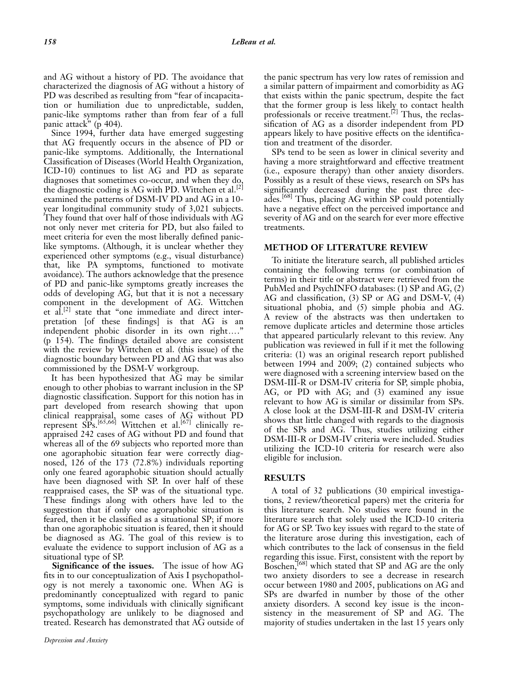and AG without a history of PD. The avoidance that characterized the diagnosis of AG without a history of PD was described as resulting from "fear of incapacitation or humiliation due to unpredictable, sudden, panic-like symptoms rather than from fear of a full panic attack'' (p 404).

Since 1994, further data have emerged suggesting that AG frequently occurs in the absence of PD or panic-like symptoms. Additionally, the International Classification of Diseases (World Health Organization, ICD-10) continues to list AG and PD as separate diagnoses that sometimes co-occur, and when they do, the diagnostic coding is AG with PD. Wittchen et al.<sup>[2]</sup> examined the patterns of DSM-IV PD and AG in a 10 year longitudinal community study of 3,021 subjects. They found that over half of those individuals with AG not only never met criteria for PD, but also failed to meet criteria for even the most liberally defined paniclike symptoms. (Although, it is unclear whether they experienced other symptoms (e.g., visual disturbance) that, like PA symptoms, functioned to motivate avoidance). The authors acknowledge that the presence of PD and panic-like symptoms greatly increases the odds of developing AG, but that it is not a necessary component in the development of AG. Wittchen et  $al$ .<sup>[2]</sup> state that "one immediate and direct interpretation [of these findings] is that AG is an independent phobic disorder in its own right...." (p 154). The findings detailed above are consistent with the review by Wittchen et al. (this issue) of the diagnostic boundary between PD and AG that was also commissioned by the DSM-V workgroup.

It has been hypothesized that AG may be similar enough to other phobias to warrant inclusion in the SP diagnostic classification. Support for this notion has in part developed from research showing that upon clinical reappraisal, some cases of AG without PD represent SPs.<sup>[65,66]</sup> Wittchen et al.<sup>[67]</sup> clinically reappraised 242 cases of AG without PD and found that whereas all of the 69 subjects who reported more than one agoraphobic situation fear were correctly diagnosed, 126 of the 173 (72.8%) individuals reporting only one feared agoraphobic situation should actually have been diagnosed with SP. In over half of these reappraised cases, the SP was of the situational type. These findings along with others have led to the suggestion that if only one agoraphobic situation is feared, then it be classified as a situational SP; if more than one agoraphobic situation is feared, then it should be diagnosed as AG. The goal of this review is to evaluate the evidence to support inclusion of AG as a situational type of SP.

Significance of the issues. The issue of how AG fits in to our conceptualization of Axis I psychopathology is not merely a taxonomic one. When AG is predominantly conceptualized with regard to panic symptoms, some individuals with clinically significant psychopathology are unlikely to be diagnosed and treated. Research has demonstrated that AG outside of the panic spectrum has very low rates of remission and a similar pattern of impairment and comorbidity as AG that exists within the panic spectrum, despite the fact that the former group is less likely to contact health professionals or receive treatment.<sup>[2]</sup> Thus, the reclassification of AG as a disorder independent from PD appears likely to have positive effects on the identification and treatment of the disorder.

SPs tend to be seen as lower in clinical severity and having a more straightforward and effective treatment (i.e., exposure therapy) than other anxiety disorders. Possibly as a result of these views, research on SPs has significantly decreased during the past three decades.[68] Thus, placing AG within SP could potentially have a negative effect on the perceived importance and severity of AG and on the search for ever more effective treatments.

#### METHOD OF LITERATURE REVIEW

To initiate the literature search, all published articles containing the following terms (or combination of terms) in their title or abstract were retrieved from the PubMed and PsychINFO databases: (1) SP and AG, (2) AG and classification, (3) SP or AG and DSM-V, (4) situational phobia, and (5) simple phobia and AG. A review of the abstracts was then undertaken to remove duplicate articles and determine those articles that appeared particularly relevant to this review. Any publication was reviewed in full if it met the following criteria: (1) was an original research report published between 1994 and 2009; (2) contained subjects who were diagnosed with a screening interview based on the DSM-III-R or DSM-IV criteria for SP, simple phobia, AG, or PD with AG; and (3) examined any issue relevant to how AG is similar or dissimilar from SPs. A close look at the DSM-III-R and DSM-IV criteria shows that little changed with regards to the diagnosis of the SPs and AG. Thus, studies utilizing either DSM-III-R or DSM-IV criteria were included. Studies utilizing the ICD-10 criteria for research were also eligible for inclusion.

## **RESULTS**

A total of 32 publications (30 empirical investigations, 2 review/theoretical papers) met the criteria for this literature search. No studies were found in the literature search that solely used the ICD-10 criteria for AG or SP. Two key issues with regard to the state of the literature arose during this investigation, each of which contributes to the lack of consensus in the field regarding this issue. First, consistent with the report by Boschen,<sup>[68]</sup> which stated that SP and AG are the only two anxiety disorders to see a decrease in research occur between 1980 and 2005, publications on AG and SPs are dwarfed in number by those of the other anxiety disorders. A second key issue is the inconsistency in the measurement of SP and AG. The majority of studies undertaken in the last 15 years only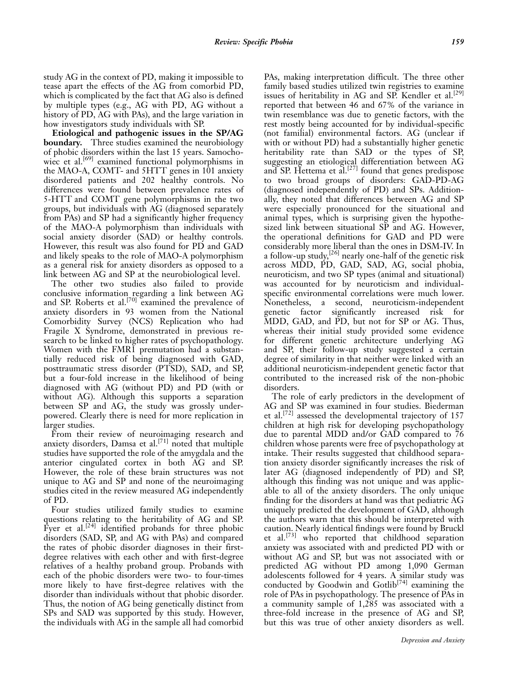study AG in the context of PD, making it impossible to tease apart the effects of the AG from comorbid PD, which is complicated by the fact that AG also is defined by multiple types (e.g., AG with PD, AG without a history of PD, AG with PAs), and the large variation in how investigators study individuals with SP.

Etiological and pathogenic issues in the SP/AG **boundary.** Three studies examined the neurobiology of phobic disorders within the last 15 years. Samochowiec et al.<sup>[69]</sup> examined functional polymorphisms in the MAO-A, COMT- and 5HTT genes in 101 anxiety disordered patients and 202 healthy controls. No differences were found between prevalence rates of 5-HTT and COMT gene polymorphisms in the two groups, but individuals with AG (diagnosed separately from PAs) and SP had a significantly higher frequency of the MAO-A polymorphism than individuals with social anxiety disorder (SAD) or healthy controls. However, this result was also found for PD and GAD and likely speaks to the role of MAO-A polymorphism as a general risk for anxiety disorders as opposed to a link between AG and SP at the neurobiological level.

The other two studies also failed to provide conclusive information regarding a link between AG and SP. Roberts et al.<sup>[70]</sup> examined the prevalence of anxiety disorders in 93 women from the National Comorbidity Survey (NCS) Replication who had Fragile X Syndrome, demonstrated in previous research to be linked to higher rates of psychopathology. Women with the FMR1 premutation had a substantially reduced risk of being diagnosed with GAD, posttraumatic stress disorder (PTSD), SAD, and SP, but a four-fold increase in the likelihood of being diagnosed with AG (without PD) and PD (with or without AG). Although this supports a separation between SP and AG, the study was grossly underpowered. Clearly there is need for more replication in larger studies.

From their review of neuroimaging research and anxiety disorders, Damsa et al.<sup>[71]</sup> noted that multiple studies have supported the role of the amygdala and the anterior cingulated cortex in both AG and SP. However, the role of these brain structures was not unique to AG and SP and none of the neuroimaging studies cited in the review measured AG independently of PD.

Four studies utilized family studies to examine questions relating to the heritability of AG and SP. Fyer et al.<sup>[24]</sup> identified probands for three phobic disorders (SAD, SP, and AG with PAs) and compared the rates of phobic disorder diagnoses in their firstdegree relatives with each other and with first-degree relatives of a healthy proband group. Probands with each of the phobic disorders were two- to four-times more likely to have first-degree relatives with the disorder than individuals without that phobic disorder. Thus, the notion of AG being genetically distinct from SPs and SAD was supported by this study. However, the individuals with AG in the sample all had comorbid PAs, making interpretation difficult. The three other family based studies utilized twin registries to examine issues of heritability in AG and SP. Kendler et al.<sup>[29]</sup> reported that between 46 and 67% of the variance in twin resemblance was due to genetic factors, with the rest mostly being accounted for by individual-specific (not familial) environmental factors. AG (unclear if with or without PD) had a substantially higher genetic heritability rate than SAD or the types of SP, suggesting an etiological differentiation between AG and SP. Hettema et al.<sup>[27]</sup> found that genes predispose to two broad groups of disorders: GAD-PD-AG (diagnosed independently of PD) and SPs. Additionally, they noted that differences between AG and SP were especially pronounced for the situational and animal types, which is surprising given the hypothesized link between situational SP and AG. However, the operational definitions for GAD and PD were considerably more liberal than the ones in DSM-IV. In a follow-up study,<sup>[26]</sup> nearly one-half of the genetic risk across MDD, PD, GAD, SAD, AG, social phobia, neuroticism, and two SP types (animal and situational) was accounted for by neuroticism and individualspecific environmental correlations were much lower. Nonetheless, a second, neuroticism-independent genetic factor significantly increased risk for MDD, GAD, and PD, but not for SP or AG. Thus, whereas their initial study provided some evidence for different genetic architecture underlying AG and SP, their follow-up study suggested a certain degree of similarity in that neither were linked with an additional neuroticism-independent genetic factor that contributed to the increased risk of the non-phobic disorders.

The role of early predictors in the development of AG and SP was examined in four studies. Biederman et al.[72] assessed the developmental trajectory of 157 children at high risk for developing psychopathology due to parental MDD and/or GAD compared to 76 children whose parents were free of psychopathology at intake. Their results suggested that childhood separation anxiety disorder significantly increases the risk of later AG (diagnosed independently of PD) and SP, although this finding was not unique and was applicable to all of the anxiety disorders. The only unique finding for the disorders at hand was that pediatric AG uniquely predicted the development of GAD, although the authors warn that this should be interpreted with caution. Nearly identical findings were found by Bruckl et al.<sup>[73]</sup> who reported that childhood separation anxiety was associated with and predicted PD with or without AG and SP, but was not associated with or predicted AG without PD among 1,090 German adolescents followed for 4 years. A similar study was conducted by Goodwin and Gotlib<sup>[74]</sup> examining the role of PAs in psychopathology. The presence of PAs in a community sample of 1,285 was associated with a three-fold increase in the presence of AG and SP, but this was true of other anxiety disorders as well.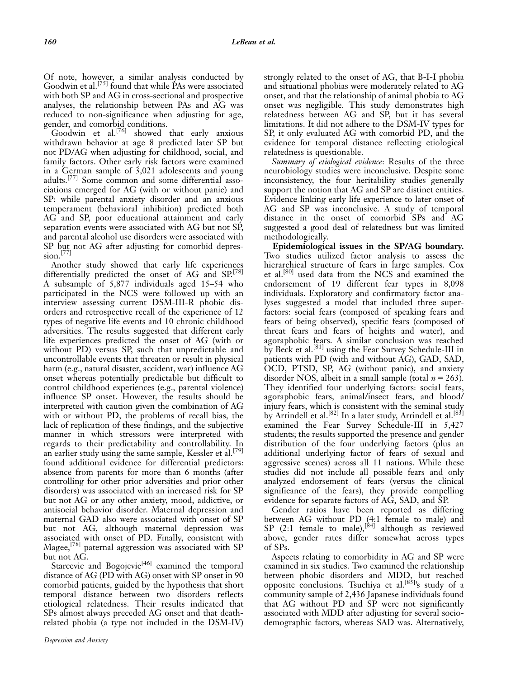Of note, however, a similar analysis conducted by Goodwin et al.<sup> $[75]$ </sup> found that while PAs were associated with both SP and AG in cross-sectional and prospective analyses, the relationship between PAs and AG was reduced to non-significance when adjusting for age, gender, and comorbid conditions.

Goodwin et al.<sup>[76]</sup> showed that early anxious withdrawn behavior at age 8 predicted later SP but not PD/AG when adjusting for childhood, social, and family factors. Other early risk factors were examined in a German sample of 3,021 adolescents and young adults.[77] Some common and some differential associations emerged for AG (with or without panic) and SP: while parental anxiety disorder and an anxious temperament (behavioral inhibition) predicted both AG and SP, poor educational attainment and early separation events were associated with AG but not SP, and parental alcohol use disorders were associated with SP but not AG after adjusting for comorbid depres $sion.$ [77]

Another study showed that early life experiences differentially predicted the onset of AG and SP.<sup>[78]</sup> A subsample of 5,877 individuals aged 15–54 who participated in the NCS were followed up with an interview assessing current DSM-III-R phobic disorders and retrospective recall of the experience of 12 types of negative life events and 10 chronic childhood adversities. The results suggested that different early life experiences predicted the onset of AG (with or without PD) versus SP, such that unpredictable and uncontrollable events that threaten or result in physical harm (e.g., natural disaster, accident, war) influence AG onset whereas potentially predictable but difficult to control childhood experiences (e.g., parental violence) influence SP onset. However, the results should be interpreted with caution given the combination of AG with or without PD, the problems of recall bias, the lack of replication of these findings, and the subjective manner in which stressors were interpreted with regards to their predictability and controllability. In an earlier study using the same sample, Kessler et al.<sup>[79]</sup> found additional evidence for differential predictors: absence from parents for more than 6 months (after controlling for other prior adversities and prior other disorders) was associated with an increased risk for SP but not AG or any other anxiety, mood, addictive, or antisocial behavior disorder. Maternal depression and maternal GAD also were associated with onset of SP but not AG, although maternal depression was associated with onset of PD. Finally, consistent with Magee,[78] paternal aggression was associated with SP but not AG.

Starcevic and Bogojevic<sup>[46]</sup> examined the temporal distance of AG (PD with AG) onset with SP onset in 90 comorbid patients, guided by the hypothesis that short temporal distance between two disorders reflects etiological relatedness. Their results indicated that SPs almost always preceded AG onset and that deathrelated phobia (a type not included in the DSM-IV) strongly related to the onset of AG, that B-I-I phobia and situational phobias were moderately related to AG onset, and that the relationship of animal phobia to AG onset was negligible. This study demonstrates high relatedness between AG and SP, but it has several limitations. It did not adhere to the DSM-IV types for SP, it only evaluated AG with comorbid PD, and the evidence for temporal distance reflecting etiological relatedness is questionable.

Summary of etiological evidence: Results of the three neurobiology studies were inconclusive. Despite some inconsistency, the four heritability studies generally support the notion that AG and SP are distinct entities. Evidence linking early life experience to later onset of AG and SP was inconclusive. A study of temporal distance in the onset of comorbid SPs and AG suggested a good deal of relatedness but was limited methodologically.

Epidemiological issues in the SP/AG boundary. Two studies utilized factor analysis to assess the hierarchical structure of fears in large samples. Cox et al.<sup>[80]</sup> used data from the NCS and examined the endorsement of 19 different fear types in 8,098 individuals. Exploratory and confirmatory factor analyses suggested a model that included three superfactors: social fears (composed of speaking fears and fears of being observed), specific fears (composed of threat fears and fears of heights and water), and agoraphobic fears. A similar conclusion was reached by Beck et al.<sup>[81]</sup> using the Fear Survey Schedule-III in patients with PD (with and without AG), GAD, SAD, OCD, PTSD, SP, AG (without panic), and anxiety disorder NOS, albeit in a small sample (total  $n = 263$ ). They identified four underlying factors: social fears, agoraphobic fears, animal/insect fears, and blood/ injury fears, which is consistent with the seminal study by Arrindell et al.<sup>[82]</sup> In a later study, Arrindell et al.<sup>[83]</sup> examined the Fear Survey Schedule-III in 5,427 students; the results supported the presence and gender distribution of the four underlying factors (plus an additional underlying factor of fears of sexual and aggressive scenes) across all 11 nations. While these studies did not include all possible fears and only analyzed endorsement of fears (versus the clinical significance of the fears), they provide compelling evidence for separate factors of AG, SAD, and SP.

Gender ratios have been reported as differing between AG without PD (4:1 female to male) and SP  $(2:1$  female to male),  $[84]$  although as reviewed above, gender rates differ somewhat across types of SPs.

Aspects relating to comorbidity in AG and SP were examined in six studies. Two examined the relationship between phobic disorders and MDD, but reached opposite conclusions. Tsuchiya et al.<sup>[85]</sup>'s study of a community sample of 2,436 Japanese individuals found that AG without PD and SP were not significantly associated with MDD after adjusting for several sociodemographic factors, whereas SAD was. Alternatively,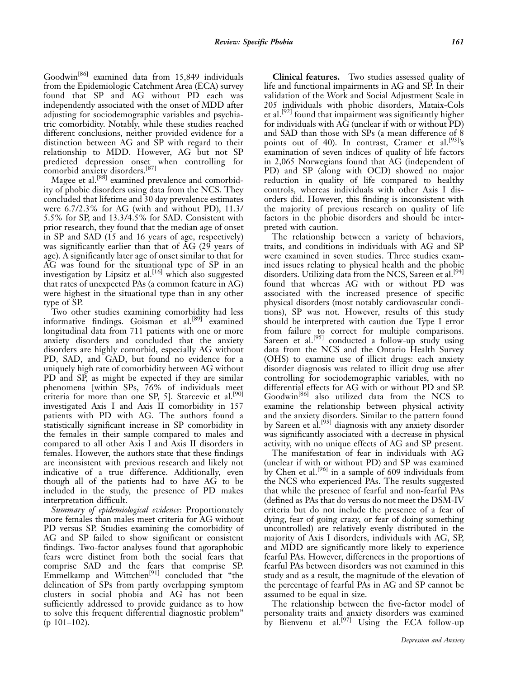Goodwin<sup>[86]</sup> examined data from 15,849 individuals from the Epidemiologic Catchment Area (ECA) survey found that SP and AG without PD each was independently associated with the onset of MDD after adjusting for sociodemographic variables and psychiatric comorbidity. Notably, while these studies reached different conclusions, neither provided evidence for a distinction between AG and SP with regard to their relationship to MDD. However, AG but not SP predicted depression onset when controlling for comorbid anxiety disorders.<sup>[87]</sup>

Magee et al.<sup>[88]</sup> examined prevalence and comorbidity of phobic disorders using data from the NCS. They concluded that lifetime and 30 day prevalence estimates were 6.7/2.3% for AG (with and without PD), 11.3/ 5.5% for SP, and 13.3/4.5% for SAD. Consistent with prior research, they found that the median age of onset in SP and SAD (15 and 16 years of age, respectively) was significantly earlier than that of AG (29 years of age). A significantly later age of onset similar to that for AG was found for the situational type of SP in an investigation by Lipsitz et al.<sup>[16]</sup> which also suggested that rates of unexpected PAs (a common feature in AG) were highest in the situational type than in any other type of SP.

Two other studies examining comorbidity had less informative findings. Goisman et al.<sup>[89]</sup> examined longitudinal data from 711 patients with one or more anxiety disorders and concluded that the anxiety disorders are highly comorbid, especially AG without PD, SAD, and GAD, but found no evidence for a uniquely high rate of comorbidity between AG without PD and SP, as might be expected if they are similar phenomena [within SPs, 76% of individuals meet criteria for more than one SP, 5]. Starcevic et al.<sup>[90]</sup> investigated Axis I and Axis II comorbidity in 157 patients with PD with AG. The authors found a statistically significant increase in SP comorbidity in the females in their sample compared to males and compared to all other Axis I and Axis II disorders in females. However, the authors state that these findings are inconsistent with previous research and likely not indicative of a true difference. Additionally, even though all of the patients had to have AG to be included in the study, the presence of PD makes interpretation difficult.

Summary of epidemiological evidence: Proportionately more females than males meet criteria for AG without PD versus SP. Studies examining the comorbidity of AG and SP failed to show significant or consistent findings. Two-factor analyses found that agoraphobic fears were distinct from both the social fears that comprise SAD and the fears that comprise SP. Emmelkamp and Wittchen<sup>[91]</sup> concluded that "the delineation of SPs from partly overlapping symptom clusters in social phobia and AG has not been sufficiently addressed to provide guidance as to how to solve this frequent differential diagnostic problem'' (p 101–102).

Clinical features. Two studies assessed quality of life and functional impairments in AG and SP. In their validation of the Work and Social Adjustment Scale in 205 individuals with phobic disorders, Mataix-Cols et al.[92] found that impairment was significantly higher for individuals with AG (unclear if with or without PD) and SAD than those with SPs (a mean difference of 8 points out of 40). In contrast, Cramer et  $al.^{[93]}s$ examination of seven indices of quality of life factors in 2,065 Norwegians found that AG (independent of PD) and SP (along with OCD) showed no major reduction in quality of life compared to healthy controls, whereas individuals with other Axis I disorders did. However, this finding is inconsistent with the majority of previous research on quality of life factors in the phobic disorders and should be interpreted with caution.

The relationship between a variety of behaviors, traits, and conditions in individuals with AG and SP were examined in seven studies. Three studies examined issues relating to physical health and the phobic disorders. Utilizing data from the NCS, Sareen et al.<sup>[94]</sup> found that whereas AG with or without PD was associated with the increased presence of specific physical disorders (most notably cardiovascular conditions), SP was not. However, results of this study should be interpreted with caution due Type I error from failure to correct for multiple comparisons. Sareen et al.<sup>[95]</sup> conducted a follow-up study using data from the NCS and the Ontario Health Survey (OHS) to examine use of illicit drugs: each anxiety disorder diagnosis was related to illicit drug use after controlling for sociodemographic variables, with no differential effects for AG with or without PD and SP. Goodwin<sup>[86]</sup> also utilized data from the NCS to examine the relationship between physical activity and the anxiety disorders. Similar to the pattern found by Sareen et al.<sup>[95]</sup> diagnosis with any anxiety disorder was significantly associated with a decrease in physical activity, with no unique effects of AG and SP present.

The manifestation of fear in individuals with AG (unclear if with or without PD) and SP was examined by Chen et al.[96] in a sample of 609 individuals from the NCS who experienced PAs. The results suggested that while the presence of fearful and non-fearful PAs (defined as PAs that do versus do not meet the DSM-IV criteria but do not include the presence of a fear of dying, fear of going crazy, or fear of doing something uncontrolled) are relatively evenly distributed in the majority of Axis I disorders, individuals with AG, SP, and MDD are significantly more likely to experience fearful PAs. However, differences in the proportions of fearful PAs between disorders was not examined in this study and as a result, the magnitude of the elevation of the percentage of fearful PAs in AG and SP cannot be assumed to be equal in size.

The relationship between the five-factor model of personality traits and anxiety disorders was examined by Bienvenu et al.<sup>[97]</sup> Using the ECA follow-up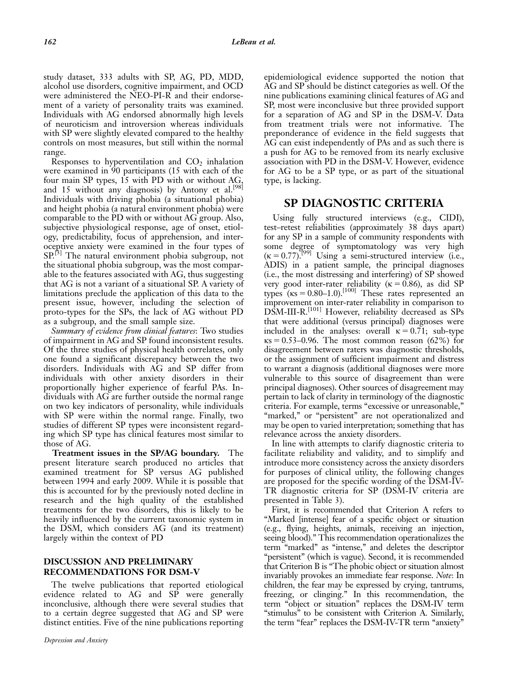study dataset, 333 adults with SP, AG, PD, MDD, alcohol use disorders, cognitive impairment, and OCD were administered the NEO-PI-R and their endorsement of a variety of personality traits was examined. Individuals with AG endorsed abnormally high levels of neuroticism and introversion whereas individuals with SP were slightly elevated compared to the healthy controls on most measures, but still within the normal range.

Responses to hyperventilation and  $CO<sub>2</sub>$  inhalation were examined in 90 participants (15 with each of the four main SP types, 15 with PD with or without AG, and 15 without any diagnosis) by Antony et al.<sup>[98]</sup> Individuals with driving phobia (a situational phobia) and height phobia (a natural environment phobia) were comparable to the PD with or without AG group. Also, subjective physiological response, age of onset, etiology, predictability, focus of apprehension, and interoceptive anxiety were examined in the four types of  $SP<sup>[3]</sup>$  The natural environment phobia subgroup, not the situational phobia subgroup, was the most comparable to the features associated with AG, thus suggesting that AG is not a variant of a situational SP. A variety of limitations preclude the application of this data to the present issue, however, including the selection of proto-types for the SPs, the lack of AG without PD as a subgroup, and the small sample size.

Summary of evidence from clinical features: Two studies of impairment in AG and SP found inconsistent results. Of the three studies of physical health correlates, only one found a significant discrepancy between the two disorders. Individuals with AG and SP differ from individuals with other anxiety disorders in their proportionally higher experience of fearful PAs. Individuals with AG are further outside the normal range on two key indicators of personality, while individuals with SP were within the normal range. Finally, two studies of different SP types were inconsistent regarding which SP type has clinical features most similar to those of AG.

Treatment issues in the SP/AG boundary. The present literature search produced no articles that examined treatment for SP versus AG published between 1994 and early 2009. While it is possible that this is accounted for by the previously noted decline in research and the high quality of the established treatments for the two disorders, this is likely to be heavily influenced by the current taxonomic system in the DSM, which considers AG (and its treatment) largely within the context of PD

## DISCUSSION AND PRELIMINARY RECOMMENDATIONS FOR DSM-V

The twelve publications that reported etiological evidence related to AG and SP were generally inconclusive, although there were several studies that to a certain degree suggested that AG and SP were distinct entities. Five of the nine publications reporting epidemiological evidence supported the notion that AG and SP should be distinct categories as well. Of the nine publications examining clinical features of AG and SP, most were inconclusive but three provided support for a separation of AG and SP in the DSM-V. Data from treatment trials were not informative. The preponderance of evidence in the field suggests that AG can exist independently of PAs and as such there is a push for AG to be removed from its nearly exclusive association with PD in the DSM-V. However, evidence for AG to be a SP type, or as part of the situational type, is lacking.

# SP DIAGNOSTIC CRITERIA

Using fully structured interviews (e.g., CIDI), test–retest reliabilities (approximately 38 days apart) for any SP in a sample of community respondents with some degree of symptomatology was very high  $(k = 0.77)$ .<sup>[99]</sup> Using a semi-structured interview (i.e., ADIS) in a patient sample, the principal diagnoses (i.e., the most distressing and interfering) of SP showed very good inter-rater reliability ( $\kappa = 0.86$ ), as did SP types ( $\kappa s = 0.80-1.0$ ).<sup>[100]</sup> These rates represented an improvement on inter-rater reliability in comparison to DSM-III-R.<sup>[101]</sup> However, reliability decreased as SPs that were additional (versus principal) diagnoses were included in the analyses: overall  $\kappa = 0.71$ ; sub-type  $ks = 0.53-0.96$ . The most common reason (62%) for disagreement between raters was diagnostic thresholds, or the assignment of sufficient impairment and distress to warrant a diagnosis (additional diagnoses were more vulnerable to this source of disagreement than were principal diagnoses). Other sources of disagreement may pertain to lack of clarity in terminology of the diagnostic criteria. For example, terms ''excessive or unreasonable,'' "marked," or "persistent" are not operationalized and may be open to varied interpretation; something that has relevance across the anxiety disorders.

In line with attempts to clarify diagnostic criteria to facilitate reliability and validity, and to simplify and introduce more consistency across the anxiety disorders for purposes of clinical utility, the following changes are proposed for the specific wording of the DSM-IV-TR diagnostic criteria for SP (DSM-IV criteria are presented in Table 3).

First, it is recommended that Criterion A refers to "Marked [intense] fear of a specific object or situation (e.g., flying, heights, animals, receiving an injection, seeing blood).'' This recommendation operationalizes the term "marked" as "intense," and deletes the descriptor "persistent" (which is vague). Second, it is recommended that Criterion B is ''The phobic object or situation almost invariably provokes an immediate fear response. Note: In children, the fear may be expressed by crying, tantrums, freezing, or clinging.'' In this recommendation, the term "object or situation" replaces the DSM-IV term ''stimulus'' to be consistent with Criterion A. Similarly, the term "fear" replaces the DSM-IV-TR term "anxiety"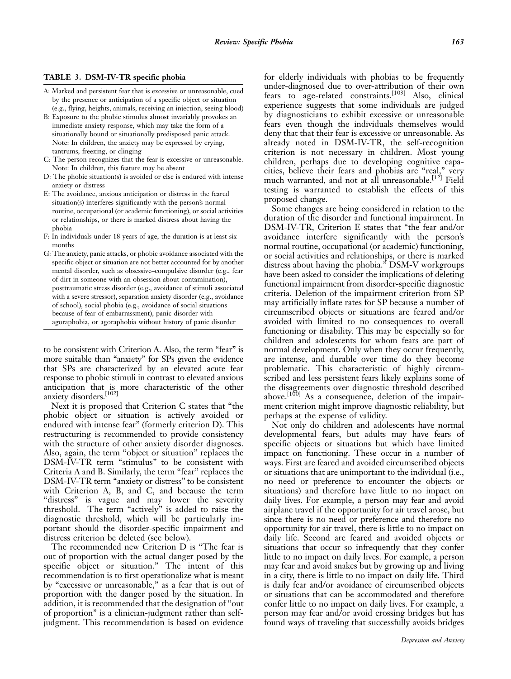#### TABLE 3. DSM-IV-TR specific phobia

- A: Marked and persistent fear that is excessive or unreasonable, cued by the presence or anticipation of a specific object or situation (e.g., flying, heights, animals, receiving an injection, seeing blood)
- B: Exposure to the phobic stimulus almost invariably provokes an immediate anxiety response, which may take the form of a situationally bound or situationally predisposed panic attack. Note: In children, the anxiety may be expressed by crying, tantrums, freezing, or clinging
- C: The person recognizes that the fear is excessive or unreasonable. Note: In children, this feature may be absent
- D: The phobic situation(s) is avoided or else is endured with intense anxiety or distress
- E: The avoidance, anxious anticipation or distress in the feared situation(s) interferes significantly with the person's normal routine, occupational (or academic functioning), or social activities or relationships, or there is marked distress about having the phobia
- F: In individuals under 18 years of age, the duration is at least six months
- G: The anxiety, panic attacks, or phobic avoidance associated with the specific object or situation are not better accounted for by another mental disorder, such as obsessive–compulsive disorder (e.g., fear of dirt in someone with an obsession about contamination), posttraumatic stress disorder (e.g., avoidance of stimuli associated with a severe stressor), separation anxiety disorder (e.g., avoidance of school), social phobia (e.g., avoidance of social situations because of fear of embarrassment), panic disorder with agoraphobia, or agoraphobia without history of panic disorder

to be consistent with Criterion A. Also, the term "fear" is more suitable than "anxiety" for SPs given the evidence that SPs are characterized by an elevated acute fear response to phobic stimuli in contrast to elevated anxious anticipation that is more characteristic of the other anxiety disorders.<sup>[102]</sup>

Next it is proposed that Criterion C states that ''the phobic object or situation is actively avoided or endured with intense fear'' (formerly criterion D). This restructuring is recommended to provide consistency with the structure of other anxiety disorder diagnoses. Also, again, the term "object or situation" replaces the DSM-IV-TR term ''stimulus'' to be consistent with Criteria A and B. Similarly, the term "fear" replaces the DSM-IV-TR term ''anxiety or distress'' to be consistent with Criterion A, B, and C, and because the term "distress" is vague and may lower the severity threshold. The term ''actively'' is added to raise the diagnostic threshold, which will be particularly important should the disorder-specific impairment and distress criterion be deleted (see below).

The recommended new Criterion D is ''The fear is out of proportion with the actual danger posed by the specific object or situation.'' The intent of this recommendation is to first operationalize what is meant by "excessive or unreasonable," as a fear that is out of proportion with the danger posed by the situation. In addition, it is recommended that the designation of ''out of proportion'' is a clinician-judgment rather than selfjudgment. This recommendation is based on evidence for elderly individuals with phobias to be frequently under-diagnosed due to over-attribution of their own fears to age-related constraints.<sup>[103]</sup> Also, clinical experience suggests that some individuals are judged by diagnosticians to exhibit excessive or unreasonable fears even though the individuals themselves would deny that that their fear is excessive or unreasonable. As already noted in DSM-IV-TR, the self-recognition criterion is not necessary in children. Most young children, perhaps due to developing cognitive capacities, believe their fears and phobias are "real," very much warranted, and not at all unreasonable.<sup>[12]</sup> Field testing is warranted to establish the effects of this proposed change.

Some changes are being considered in relation to the duration of the disorder and functional impairment. In DSM-IV-TR, Criterion E states that ''the fear and/or avoidance interfere significantly with the person's normal routine, occupational (or academic) functioning, or social activities and relationships, or there is marked distress about having the phobia.'' DSM-V workgroups have been asked to consider the implications of deleting functional impairment from disorder-specific diagnostic criteria. Deletion of the impairment criterion from SP may artificially inflate rates for SP because a number of circumscribed objects or situations are feared and/or avoided with limited to no consequences to overall functioning or disability. This may be especially so for children and adolescents for whom fears are part of normal development. Only when they occur frequently, are intense, and durable over time do they become problematic. This characteristic of highly circumscribed and less persistent fears likely explains some of the disagreements over diagnostic threshold described above.<sup>[100]</sup> As a consequence, deletion of the impairment criterion might improve diagnostic reliability, but perhaps at the expense of validity.

Not only do children and adolescents have normal developmental fears, but adults may have fears of specific objects or situations but which have limited impact on functioning. These occur in a number of ways. First are feared and avoided circumscribed objects or situations that are unimportant to the individual (i.e., no need or preference to encounter the objects or situations) and therefore have little to no impact on daily lives. For example, a person may fear and avoid airplane travel if the opportunity for air travel arose, but since there is no need or preference and therefore no opportunity for air travel, there is little to no impact on daily life. Second are feared and avoided objects or situations that occur so infrequently that they confer little to no impact on daily lives. For example, a person may fear and avoid snakes but by growing up and living in a city, there is little to no impact on daily life. Third is daily fear and/or avoidance of circumscribed objects or situations that can be accommodated and therefore confer little to no impact on daily lives. For example, a person may fear and/or avoid crossing bridges but has found ways of traveling that successfully avoids bridges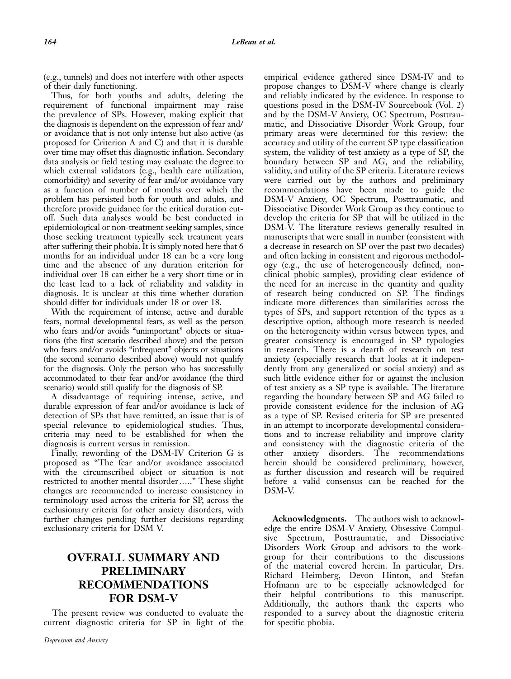(e.g., tunnels) and does not interfere with other aspects of their daily functioning.

Thus, for both youths and adults, deleting the requirement of functional impairment may raise the prevalence of SPs. However, making explicit that the diagnosis is dependent on the expression of fear and/ or avoidance that is not only intense but also active (as proposed for Criterion A and C) and that it is durable over time may offset this diagnostic inflation. Secondary data analysis or field testing may evaluate the degree to which external validators (e.g., health care utilization, comorbidity) and severity of fear and/or avoidance vary as a function of number of months over which the problem has persisted both for youth and adults, and therefore provide guidance for the critical duration cutoff. Such data analyses would be best conducted in epidemiological or non-treatment seeking samples, since those seeking treatment typically seek treatment years after suffering their phobia. It is simply noted here that 6 months for an individual under 18 can be a very long time and the absence of any duration criterion for individual over 18 can either be a very short time or in the least lead to a lack of reliability and validity in diagnosis. It is unclear at this time whether duration should differ for individuals under 18 or over 18.

With the requirement of intense, active and durable fears, normal developmental fears, as well as the person who fears and/or avoids "unimportant" objects or situations (the first scenario described above) and the person who fears and/or avoids "infrequent" objects or situations (the second scenario described above) would not qualify for the diagnosis. Only the person who has successfully accommodated to their fear and/or avoidance (the third scenario) would still qualify for the diagnosis of SP.

A disadvantage of requiring intense, active, and durable expression of fear and/or avoidance is lack of detection of SPs that have remitted, an issue that is of special relevance to epidemiological studies. Thus, criteria may need to be established for when the diagnosis is current versus in remission.

Finally, rewording of the DSM-IV Criterion G is proposed as ''The fear and/or avoidance associated with the circumscribed object or situation is not restricted to another mental disorder....." These slight changes are recommended to increase consistency in terminology used across the criteria for SP, across the exclusionary criteria for other anxiety disorders, with further changes pending further decisions regarding exclusionary criteria for DSM V.

# OVERALL SUMMARY AND PRELIMINARY RECOMMENDATIONS FOR DSM-V

The present review was conducted to evaluate the current diagnostic criteria for SP in light of the empirical evidence gathered since DSM-IV and to propose changes to DSM-V where change is clearly and reliably indicated by the evidence. In response to questions posed in the DSM-IV Sourcebook (Vol. 2) and by the DSM-V Anxiety, OC Spectrum, Posttraumatic, and Dissociative Disorder Work Group, four primary areas were determined for this review: the accuracy and utility of the current SP type classification system, the validity of test anxiety as a type of SP, the boundary between SP and AG, and the reliability, validity, and utility of the SP criteria. Literature reviews were carried out by the authors and preliminary recommendations have been made to guide the DSM-V Anxiety, OC Spectrum, Posttraumatic, and Dissociative Disorder Work Group as they continue to develop the criteria for SP that will be utilized in the DSM-V. The literature reviews generally resulted in manuscripts that were small in number (consistent with a decrease in research on SP over the past two decades) and often lacking in consistent and rigorous methodology (e.g., the use of heterogeneously defined, nonclinical phobic samples), providing clear evidence of the need for an increase in the quantity and quality of research being conducted on SP. The findings indicate more differences than similarities across the types of SPs, and support retention of the types as a descriptive option, although more research is needed on the heterogeneity within versus between types, and greater consistency is encouraged in SP typologies in research. There is a dearth of research on test anxiety (especially research that looks at it independently from any generalized or social anxiety) and as such little evidence either for or against the inclusion of test anxiety as a SP type is available. The literature regarding the boundary between SP and AG failed to provide consistent evidence for the inclusion of AG as a type of SP. Revised criteria for SP are presented in an attempt to incorporate developmental considerations and to increase reliability and improve clarity and consistency with the diagnostic criteria of the other anxiety disorders. The recommendations herein should be considered preliminary, however, as further discussion and research will be required before a valid consensus can be reached for the DSM-V.

Acknowledgments. The authors wish to acknowledge the entire DSM-V Anxiety, Obsessive–Compulsive Spectrum, Posttraumatic, and Dissociative Disorders Work Group and advisors to the workgroup for their contributions to the discussions of the material covered herein. In particular, Drs. Richard Heimberg, Devon Hinton, and Stefan Hofmann are to be especially acknowledged for their helpful contributions to this manuscript. Additionally, the authors thank the experts who responded to a survey about the diagnostic criteria for specific phobia.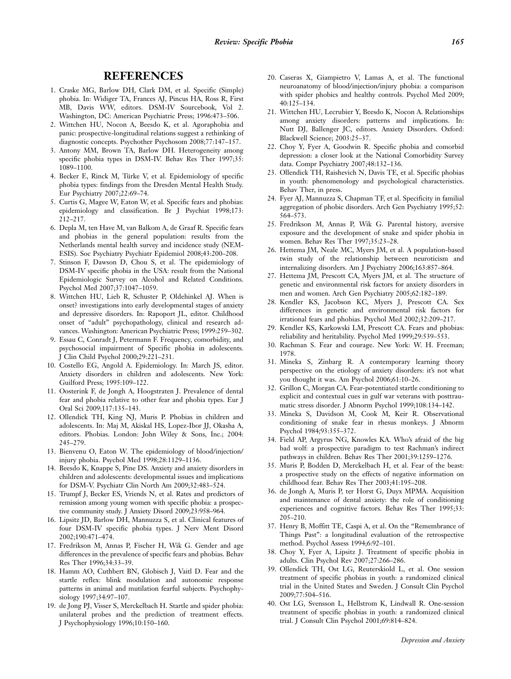# **REFERENCES**

- 1. Craske MG, Barlow DH, Clark DM, et al. Specific (Simple) phobia. In: Widiger TA, Frances AJ, Pincus HA, Ross R, First MB, Davis WW, editors. DSM-IV Sourcebook, Vol 2. Washington, DC: American Psychiatric Press; 1996:473–506.
- 2. Wittchen HU, Nocon A, Beesdo K, et al. Agoraphobia and panic: prospective-longitudinal relations suggest a rethinking of diagnostic concepts. Psychother Psychosom 2008;77:147–157.
- 3. Antony MM, Brown TA, Barlow DH. Heterogeneity among specific phobia types in DSM-IV. Behav Res Ther 1997;35: 1089–1100.
- 4. Becker E, Rinck M, Türke V, et al. Epidemiology of specific phobia types: findings from the Dresden Mental Health Study. Eur Psychiatry 2007;22:69–74.
- 5. Curtis G, Magee W, Eaton W, et al. Specific fears and phobias: epidemiology and classification. Br J Psychiat 1998;173: 212–217.
- 6. Depla M, ten Have M, van Balkom A, de Graaf R. Specific fears and phobias in the general population: results from the Netherlands mental health survey and incidence study (NEM-ESIS). Soc Psychiatry Psychiatr Epidemiol 2008;43:200–208.
- 7. Stinson F, Dawson D, Chou S, et al. The epidemiology of DSM-IV specific phobia in the USA: result from the National Epidemiologic Survey on Alcohol and Related Conditions. Psychol Med 2007;37:1047–1059.
- 8. Wittchen HU, Lieb R, Schuster P, Oldehinkel AJ. When is onset? investigations into early developmental stages of anxiety and depressive disorders. In: Rapoport JL, editor. Childhood onset of ''adult'' psychopathology, clinical and research advances. Washington: American Psychiatric Press; 1999:259–302.
- 9. Essau C, Conradt J, Petermann F. Frequency, comorbidity, and psychosocial impairment of Specific phobia in adolescents. J Clin Child Psychol 2000;29:221–231.
- 10. Costello EG, Angold A. Epidemiology. In: March JS, editor. Anxiety disorders in children and adolescents. New York: Guilford Press; 1995:109–122.
- 11. Oosterink F, de Jongh A, Hoogstraten J. Prevalence of dental fear and phobia relative to other fear and phobia types. Eur J Oral Sci 2009;117:135–143.
- 12. Ollendick TH, King NJ, Muris P. Phobias in children and adolescents. In: Maj M, Akiskal HS, Lopez-Ibor JJ, Okasha A, editors. Phobias. London: John Wiley & Sons, Inc.; 2004: 245–279.
- 13. Bienvenu O, Eaton W. The epidemiology of blood/injection/ injury phobia. Psychol Med 1998;28:1129–1136.
- 14. Beesdo K, Knappe S, Pine DS. Anxiety and anxiety disorders in children and adolescents: developmental issues and implications for DSM-V. Psychiatr Clin North Am 2009;32:483–524.
- 15. Trumpf J, Becker ES, Vriends N, et al. Rates and predictors of remission among young women with specific phobia: a prospective community study. J Anxiety Disord 2009;23:958–964.
- 16. Lipsitz JD, Barlow DH, Mannuzza S, et al. Clinical features of four DSM-IV specific phobia types. J Nerv Ment Disord 2002;190:471–474.
- 17. Fredrikson M, Annas P, Fischer H, Wik G. Gender and age differences in the prevalence of specific fears and phobias. Behav Res Ther 1996;34:33–39.
- 18. Hamm AO, Cuthbert BN, Globisch J, Vaitl D. Fear and the startle reflex: blink modulation and autonomic response patterns in animal and mutilation fearful subjects. Psychophysiology 1997;34:97–107.
- 19. de Jong PJ, Visser S, Merckelbach H. Startle and spider phobia: unilateral probes and the prediction of treatment effects. J Psychophysiology 1996;10:150–160.
- 20. Caseras X, Giampietro V, Lamas A, et al. The functional neuroanatomy of blood/injection/injury phobia: a comparison with spider phobics and healthy controls. Psychol Med 2009; 40:125–134.
- 21. Wittchen HU, Lecrubier Y, Beesdo K, Nocon A. Relationships among anxiety disorders: patterns and implications. In: Nutt DJ, Ballenger JC, editors. Anxiety Disorders. Oxford: Blackwell Science; 2003:25–37.
- 22. Choy Y, Fyer A, Goodwin R. Specific phobia and comorbid depression: a closer look at the National Comorbidity Survey data. Compr Psychiatry 2007;48:132–136.
- 23. Ollendick TH, Raishevich N, Davis TE, et al. Specific phobias in youth: phenomenology and psychological characteristics. Behav Ther, in press.
- 24. Fyer AJ, Mannuzza S, Chapman TF, et al. Specificity in familial aggregation of phobic disorders. Arch Gen Psychiatry 1995;52: 564–573.
- 25. Fredrikson M, Annas P, Wik G. Parental history, aversive exposure and the development of snake and spider phobia in women. Behav Res Ther 1997;35:23–28.
- 26. Hettema JM, Neale MC, Myers JM, et al. A population-based twin study of the relationship between neuroticism and internalizing disorders. Am J Psychiatry 2006;163:857–864.
- 27. Hettema JM, Prescott CA, Myers JM, et al. The structure of genetic and environmental risk factors for anxiety disorders in men and women. Arch Gen Psychiatry 2005;62:182–189.
- 28. Kendler KS, Jacobson KC, Myers J, Prescott CA. Sex differences in genetic and environmental risk factors for irrational fears and phobias. Psychol Med 2002;32:209–217.
- 29. Kendler KS, Karkowski LM, Prescott CA. Fears and phobias: reliability and heritability. Psychol Med 1999;29:539–553.
- 30. Rachman S. Fear and courage. New York: W. H. Freeman; 1978.
- 31. Mineka S, Zinbarg R. A contemporary learning theory perspective on the etiology of anxiety disorders: it's not what you thought it was. Am Psychol 2006;61:10–26.
- 32. Grillon C, Morgan CA. Fear-potentiated startle conditioning to explicit and contextual cues in gulf war veterans with posttraumatic stress disorder. J Abnorm Psychol 1999;108:134–142.
- 33. Mineka S, Davidson M, Cook M, Keir R. Observational conditioning of snake fear in rhesus monkeys. J Abnorm Psychol 1984;93:355–372.
- 34. Field AP, Argyrus NG, Knowles KA. Who's afraid of the big bad wolf: a prospective paradigm to test Rachman's indirect pathways in children. Behav Res Ther 2001;39:1259–1276.
- 35. Muris P, Bodden D, Merckelbach H, et al. Fear of the beast: a prospective study on the effects of negative information on childhood fear. Behav Res Ther 2003;41:195–208.
- 36. de Jongh A, Muris P, ter Horst G, Duyx MPMA. Acquisition and maintenance of dental anxiety: the role of conditioning experiences and cognitive factors. Behav Res Ther 1995;33: 205–210.
- 37. Henry B, Moffitt TE, Caspi A, et al. On the ''Remembrance of Things Past'': a longitudinal evaluation of the retrospective method. Psychol Assess 1994;6:92–101.
- 38. Choy Y, Fyer A, Lipsitz J. Treatment of specific phobia in adults. Clin Psychol Rev 2007;27:266–286.
- 39. Ollendick TH, Ost LG, Reuterskiold L, et al. One session treatment of specific phobias in youth: a randomized clinical trial in the United States and Sweden. J Consult Clin Psychol 2009;77:504–516.
- 40. Ost LG, Svensson L, Hellstrom K, Lindwall R. One-session treatment of specific phobias in youth: a randomized clinical trial. J Consult Clin Psychol 2001;69:814–824.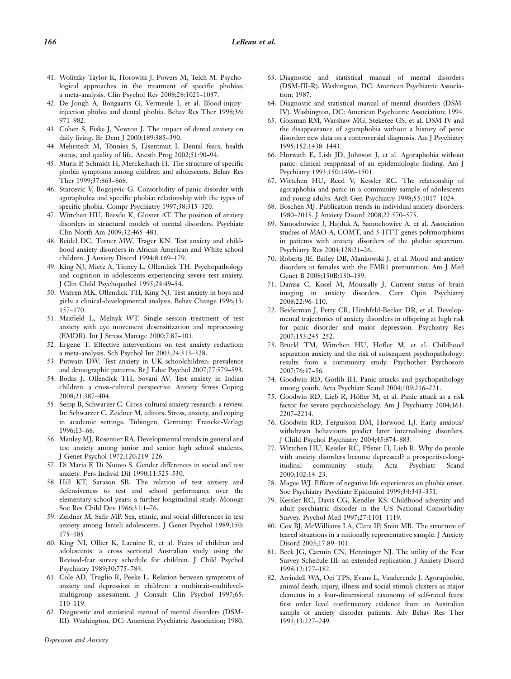- 41. Wolitzky-Taylor K, Horowitz J, Powers M, Telch M. Psychological approaches in the treatment of specific phobias: a meta-analysis. Clin Psychol Rev 2008;28:1021–1037.
- 42. De Jongh A, Bongaarts G, Vermeule I, et al. Blood-injuryinjection phobia and dental phobia. Behav Res Ther 1998;36: 971–982.
- 43. Cohen S, Fiske J, Newton J. The impact of dental anxiety on daily living. Br Dent J 2000;189:385–390.
- 44. Mehrstedt M, Tönnies S, Eisentraut I. Dental fears, health status, and quality of life. Anesth Prog 2002;51:90–94.
- 45. Muris P, Schmidt H, Merckelbach H. The structure of specific phobia symptoms among children and adolescents. Behav Res Ther 1999;37:863–868.
- 46. Starcevic V, Bogojevic G. Comorbidity of panic disorder with agoraphobia and specific phobia: relationship with the types of specific phobia. Compr Psychiatry 1997;38:315–320.
- 47. Wittchen HU, Beesdo K, Gloster AT. The position of anxiety disorders in structural models of mental disorders. Psychiatr Clin North Am 2009;32:465–481.
- 48. Beidel DC, Turner MW, Trager KN. Test anxiety and childhood anxiety disorders in African American and White school children. J Anxiety Disord 1994;8:169–179.
- 49. King NJ, Mietz A, Tinney L, Ollendick TH. Psychopathology and cognition in adolescents experiencing severe test anxiety. J Clin Child Psychopathol 1995;24:49–54.
- 50. Warren MK, Ollendick TH, King NJ. Test anxiety in boys and girls: a clinical-developmental analysis. Behav Change 1996;13: 157–170.
- 51. Maxfield L, Melnyk WT. Single session treatment of test anxiety with eye movement desensitization and reprocessing (EMDR). Int J Stress Manage 2000;7:87–101.
- 52. Ergene T. Effective interventions on test anxiety reduction: a meta-analysis. Sch Psychol Int 2003;24:313–328.
- 53. Putwain DW. Test anxiety in UK schoolchildren: prevalence and demographic patterns. Br J Educ Psychol 2007;77:579–593.
- 54. Bodas J, Ollendick TH, Sovani AV. Test anxiety in Indian children: a cross-cultural perspective. Anxiety Stress Coping 2008;21:387–404.
- 55. Seipp B, Schwarzer C. Cross-cultural anxiety research: a review. In: Schwarzer C, Zeidner M, editors. Stress, anxiety, and coping in academic settings. Tubingen, Germany: Francke-Verlag; 1996:13–68.
- 56. Manley MJ, Rosemier RA. Developmental trends in general and test anxiety among junior and senior high school students. J Genet Psychol 1972;120:219–226.
- 57. Di Maria F, Di Nuovo S. Gender differences in social and test anxiety. Pers Individ Dif 1990;11:525–530.
- 58. Hill KT, Sarason SB. The relation of test anxiety and defensiveness to test and school performance over the elementary school years: a further longitudinal study. Monogr Soc Res Child Dev 1966;31:1–76.
- 59. Zeidner M, Safir MP. Sex, ethnic, and social differences in test anxiety among Israeli adolescents. J Genet Psychol 1989;150: 175–185.
- 60. King NI, Ollier K, Lacuine R, et al. Fears of children and adolescents: a cross sectional Australian study using the Revised-fear survey schedule for children. J Child Psychol Psychiatry 1989;30:775–784.
- 61. Cole AD, Truglio R, Peeke L. Relation between symptoms of anxiety and depression in children: a multitrait-multilevelmultigroup assessment. J Consult Clin Psychol 1997;65: 110–119.
- 62. Diagnostic and statistical manual of mental disorders (DSM-III). Washington, DC: American Psychiatric Association; 1980.
- 63. Diagnostic and statistical manual of mental disorders (DSM-III-R). Washington, DC: American Psychiatric Association; 1987.
- 64. Diagnostic and statistical manual of mental disorders (DSM-IV). Washington, DC: American Psychiatric Association; 1994.
- 65. Goisman RM, Warshaw MG, Steketee GS, et al. DSM-IV and the disappearance of agoraphobia without a history of panic disorder: new data on a controversial diagnosis. Am J Psychiatry 1995;152:1438–1443.
- 66. Horwath E, Lish JD, Johnson J, et al. Agoraphobia without panic: clinical reappraisal of an epidemiologic finding. Am J Psychiatry 1993;150:1496–1501.
- 67. Wittchen HU, Reed V, Kessler RC. The relationship of agoraphobia and panic in a community sample of adolescents and young adults. Arch Gen Psychiatry 1998;55:1017–1024.
- 68. Boschen MJ. Publication trends in individual anxiety disorders: 1980–2015. J Anxiety Disord 2008;22:570–575.
- 69. Samochowiec J, Hajduk A, Samochowiec A, et al. Association studies of MAO-A, COMT, and 5-HTT genes polymorphisms in patients with anxiety disorders of the phobic spectrum. Psychiatry Res 2004;128:21–26.
- 70. Roberts JE, Bailey DB, Mankowski J, et al. Mood and anxiety disorders in females with the FMR1 premutation. Am J Med Genet B 2008;150B:130–139.
- 71. Damsa C, Kosel M, Moussally J. Current status of brain imaging in anxiety disorders. Curr Opin Psychiatry 2008;22:96–110.
- 72. Beiderman J, Petty CR, Hirshfeld-Becker DR, et al. Developmental trajectories of anxiety disorders in offspring at high risk for panic disorder and major depression. Psychiatry Res 2007;153:245–252.
- 73. Bruckl TM, Wittchen HU, Hofler M, et al. Childhood separation anxiety and the risk of subsequent psychopathology: results from a community study. Psychother Psychosom 2007;76:47–56.
- 74. Goodwin RD, Gotlib IH. Panic attacks and psychopathology among youth. Acta Psychiatr Scand 2004;109:216–221.
- 75. Goodwin RD, Lieb R, Höfler M, et al. Panic attack as a risk factor for severe psychopathology. Am J Psychiatry 2004;161: 2207–2214.
- 76. Goodwin RD, Fergusson DM, Horwood LJ. Early anxious/ withdrawn behaviours predict later internalising disorders. J Child Psychol Psychiatry 2004;45:874–883.
- 77. Wittchen HU, Kessler RC, Pfister H, Lieb R. Why do people with anxiety disorders become depressed? a prospective-longitudinal community study. Acta Psychiatr Scand 2000;102:14–23.
- 78. Magee WJ. Effects of negative life experiences on phobia onset. Soc Psychiatry Psychiatr Epidemiol 1999;34:343–351.
- 79. Kessler RC, Davis CG, Kendler KS. Childhood adversity and adult psychiatric disorder in the US National Comorbidity Survey. Psychol Med 1997;27:1101–1119.
- 80. Cox BJ, McWilliams LA, Clara IP, Stein MB. The structure of feared situations in a nationally representative sample. J Anxiety Disord 2003;17:89–101.
- 81. Beck JG, Carmin CN, Henninger NJ. The utility of the Fear Survey Schedule-III: an extended replication. J Anxiety Disord 1998;12:177–182.
- 82. Arrindell WA, Oei TPS, Evans L, Vanderende J. Agoraphobic, animal death, injury, illness and social stimuli clusters as major elements in a four-dimensional taxonomy of self-rated fears: first order level confirmatory evidence from an Australian sample of anxiety disorder patients. Adv Behav Res Ther 1991;13:227–249.